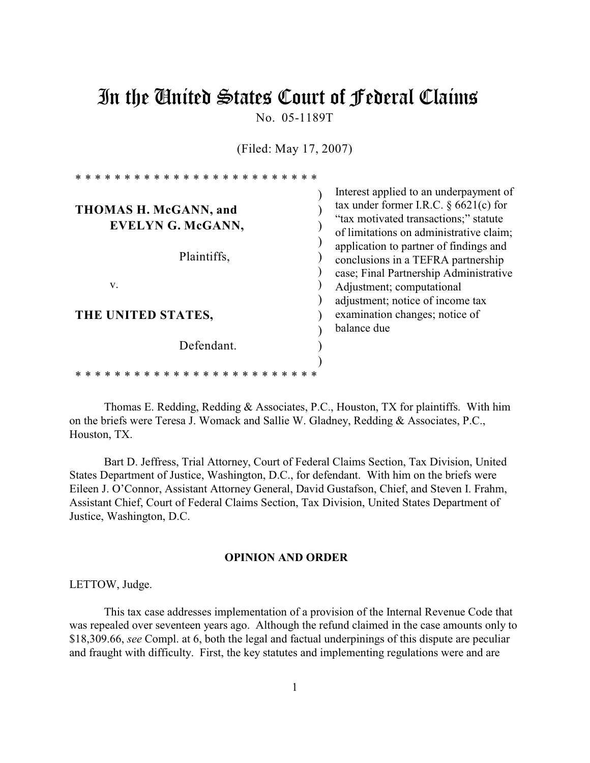# In the United States Court of Federal Claims

No. 05-1189T

(Filed: May 17, 2007)

| Interest applied to an underpayment of<br>tax under former I.R.C. $\S$ 6621(c) for<br>THOMAS H. McGANN, and<br>"tax motivated transactions;" statute |  |
|------------------------------------------------------------------------------------------------------------------------------------------------------|--|
| <b>EVELYN G. McGANN,</b><br>of limitations on administrative claim;                                                                                  |  |
| application to partner of findings and<br>Plaintiffs,<br>conclusions in a TEFRA partnership<br>case; Final Partnership Administrative                |  |
| V.<br>Adjustment; computational<br>adjustment; notice of income tax                                                                                  |  |
| examination changes; notice of<br>THE UNITED STATES,<br>balance due                                                                                  |  |
| Defendant.                                                                                                                                           |  |

Thomas E. Redding, Redding & Associates, P.C., Houston, TX for plaintiffs. With him on the briefs were Teresa J. Womack and Sallie W. Gladney, Redding & Associates, P.C., Houston, TX.

\* \* \* \* \* \* \* \* \* \* \* \* \* \* \* \* \* \* \* \* \* \* \* \* \*

Bart D. Jeffress, Trial Attorney, Court of Federal Claims Section, Tax Division, United States Department of Justice, Washington, D.C., for defendant. With him on the briefs were Eileen J. O'Connor, Assistant Attorney General, David Gustafson, Chief, and Steven I. Frahm, Assistant Chief, Court of Federal Claims Section, Tax Division, United States Department of Justice, Washington, D.C.

### **OPINION AND ORDER**

LETTOW, Judge.

This tax case addresses implementation of a provision of the Internal Revenue Code that was repealed over seventeen years ago. Although the refund claimed in the case amounts only to \$18,309.66, *see* Compl. at 6, both the legal and factual underpinings of this dispute are peculiar and fraught with difficulty. First, the key statutes and implementing regulations were and are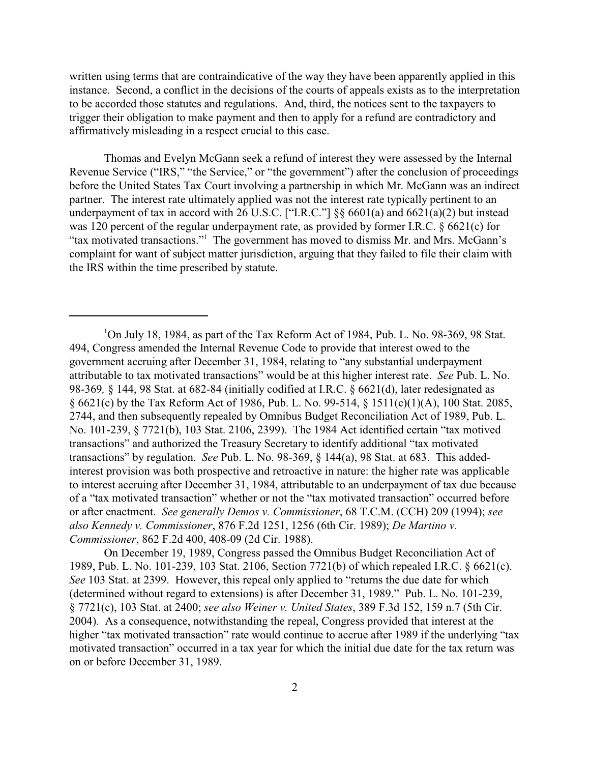written using terms that are contraindicative of the way they have been apparently applied in this instance. Second, a conflict in the decisions of the courts of appeals exists as to the interpretation to be accorded those statutes and regulations. And, third, the notices sent to the taxpayers to trigger their obligation to make payment and then to apply for a refund are contradictory and affirmatively misleading in a respect crucial to this case.

Thomas and Evelyn McGann seek a refund of interest they were assessed by the Internal Revenue Service ("IRS," "the Service," or "the government") after the conclusion of proceedings before the United States Tax Court involving a partnership in which Mr. McGann was an indirect partner. The interest rate ultimately applied was not the interest rate typically pertinent to an underpayment of tax in accord with 26 U.S.C. ["I.R.C."]  $\S\S 6601(a)$  and  $6621(a)(2)$  but instead was 120 percent of the regular underpayment rate, as provided by former I.R.C. § 6621(c) for "tax motivated transactions."<sup>1</sup> The government has moved to dismiss Mr. and Mrs. McGann's complaint for want of subject matter jurisdiction, arguing that they failed to file their claim with the IRS within the time prescribed by statute.

On December 19, 1989, Congress passed the Omnibus Budget Reconciliation Act of 1989, Pub. L. No. 101-239, 103 Stat. 2106, Section 7721(b) of which repealed I.R.C. § 6621(c). *See* 103 Stat. at 2399. However, this repeal only applied to "returns the due date for which (determined without regard to extensions) is after December 31, 1989." Pub. L. No. 101-239, § 7721(c), 103 Stat. at 2400; *see also Weiner v. United States*, 389 F.3d 152, 159 n.7 (5th Cir. 2004). As a consequence, notwithstanding the repeal, Congress provided that interest at the higher "tax motivated transaction" rate would continue to accrue after 1989 if the underlying "tax motivated transaction" occurred in a tax year for which the initial due date for the tax return was on or before December 31, 1989.

 $1$ On July 18, 1984, as part of the Tax Reform Act of 1984, Pub. L. No. 98-369, 98 Stat. 494, Congress amended the Internal Revenue Code to provide that interest owed to the government accruing after December 31, 1984, relating to "any substantial underpayment attributable to tax motivated transactions" would be at this higher interest rate. *See* Pub. L. No. 98-369*,* § 144, 98 Stat. at 682-84 (initially codified at I.R.C. § 6621(d), later redesignated as § 6621(c) by the Tax Reform Act of 1986, Pub. L. No. 99-514, § 1511(c)(1)(A), 100 Stat. 2085, 2744, and then subsequently repealed by Omnibus Budget Reconciliation Act of 1989, Pub. L. No. 101-239, § 7721(b), 103 Stat. 2106, 2399). The 1984 Act identified certain "tax motived transactions" and authorized the Treasury Secretary to identify additional "tax motivated transactions" by regulation. *See* Pub. L. No. 98-369, § 144(a), 98 Stat. at 683. This addedinterest provision was both prospective and retroactive in nature: the higher rate was applicable to interest accruing after December 31, 1984, attributable to an underpayment of tax due because of a "tax motivated transaction" whether or not the "tax motivated transaction" occurred before or after enactment. *See generally Demos v. Commissioner*, 68 T.C.M. (CCH) 209 (1994); *see also Kennedy v. Commissioner*, 876 F.2d 1251, 1256 (6th Cir. 1989); *De Martino v. Commissioner*, 862 F.2d 400, 408-09 (2d Cir. 1988).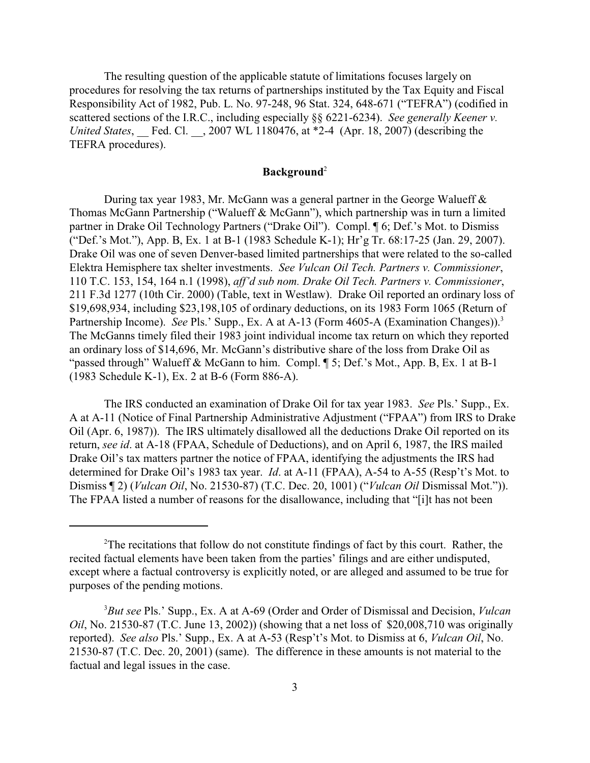The resulting question of the applicable statute of limitations focuses largely on procedures for resolving the tax returns of partnerships instituted by the Tax Equity and Fiscal Responsibility Act of 1982, Pub. L. No. 97-248, 96 Stat. 324, 648-671 ("TEFRA") (codified in scattered sections of the I.R.C., including especially §§ 6221-6234). *See generally Keener v. United States*, \_\_ Fed. Cl. \_\_, 2007 WL 1180476, at \*2-4 (Apr. 18, 2007) (describing the TEFRA procedures).

# **Background**<sup>2</sup>

During tax year 1983, Mr. McGann was a general partner in the George Walueff & Thomas McGann Partnership ("Walueff & McGann"), which partnership was in turn a limited partner in Drake Oil Technology Partners ("Drake Oil"). Compl. ¶ 6; Def.'s Mot. to Dismiss ("Def.'s Mot."), App. B, Ex. 1 at B-1 (1983 Schedule K-1); Hr'g Tr. 68:17-25 (Jan. 29, 2007). Drake Oil was one of seven Denver-based limited partnerships that were related to the so-called Elektra Hemisphere tax shelter investments. *See Vulcan Oil Tech. Partners v. Commissioner*, 110 T.C. 153, 154, 164 n.1 (1998), *aff'd sub nom. Drake Oil Tech. Partners v. Commissioner*, 211 F.3d 1277 (10th Cir. 2000) (Table, text in Westlaw). Drake Oil reported an ordinary loss of \$19,698,934, including \$23,198,105 of ordinary deductions, on its 1983 Form 1065 (Return of Partnership Income). See Pls.' Supp., Ex. A at A-13 (Form 4605-A (Examination Changes)).<sup>3</sup> The McGanns timely filed their 1983 joint individual income tax return on which they reported an ordinary loss of \$14,696, Mr. McGann's distributive share of the loss from Drake Oil as "passed through" Walueff & McGann to him. Compl. ¶ 5; Def.'s Mot., App. B, Ex. 1 at B-1 (1983 Schedule K-1), Ex. 2 at B-6 (Form 886-A).

The IRS conducted an examination of Drake Oil for tax year 1983. *See* Pls.' Supp., Ex. A at A-11 (Notice of Final Partnership Administrative Adjustment ("FPAA") from IRS to Drake Oil (Apr. 6, 1987)). The IRS ultimately disallowed all the deductions Drake Oil reported on its return, *see id*. at A-18 (FPAA, Schedule of Deductions), and on April 6, 1987, the IRS mailed Drake Oil's tax matters partner the notice of FPAA, identifying the adjustments the IRS had determined for Drake Oil's 1983 tax year. *Id*. at A-11 (FPAA), A-54 to A-55 (Resp't's Mot. to Dismiss ¶ 2) (*Vulcan Oil*, No. 21530-87) (T.C. Dec. 20, 1001) ("*Vulcan Oil* Dismissal Mot.")). The FPAA listed a number of reasons for the disallowance, including that "[i]t has not been

<sup>&</sup>lt;sup>2</sup>The recitations that follow do not constitute findings of fact by this court. Rather, the recited factual elements have been taken from the parties' filings and are either undisputed, except where a factual controversy is explicitly noted, or are alleged and assumed to be true for purposes of the pending motions.

*But see* Pls.' Supp., Ex. A at A-69 (Order and Order of Dismissal and Decision, *Vulcan* <sup>3</sup> *Oil*, No. 21530-87 (T.C. June 13, 2002)) (showing that a net loss of \$20,008,710 was originally reported). *See also* Pls.' Supp., Ex. A at A-53 (Resp't's Mot. to Dismiss at 6, *Vulcan Oil*, No. 21530-87 (T.C. Dec. 20, 2001) (same). The difference in these amounts is not material to the factual and legal issues in the case.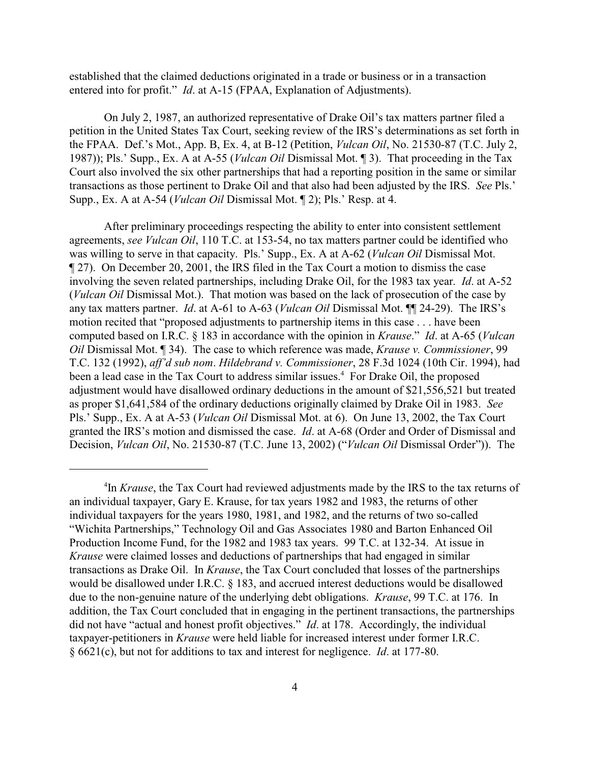established that the claimed deductions originated in a trade or business or in a transaction entered into for profit." *Id*. at A-15 (FPAA, Explanation of Adjustments).

On July 2, 1987, an authorized representative of Drake Oil's tax matters partner filed a petition in the United States Tax Court, seeking review of the IRS's determinations as set forth in the FPAA. Def.'s Mot., App. B, Ex. 4, at B-12 (Petition, *Vulcan Oil*, No. 21530-87 (T.C. July 2, 1987)); Pls.' Supp., Ex. A at A-55 (*Vulcan Oil* Dismissal Mot. ¶ 3). That proceeding in the Tax Court also involved the six other partnerships that had a reporting position in the same or similar transactions as those pertinent to Drake Oil and that also had been adjusted by the IRS. *See* Pls.' Supp., Ex. A at A-54 (*Vulcan Oil* Dismissal Mot. ¶ 2); Pls.' Resp. at 4.

After preliminary proceedings respecting the ability to enter into consistent settlement agreements, *see Vulcan Oil*, 110 T.C. at 153-54, no tax matters partner could be identified who was willing to serve in that capacity. Pls.' Supp., Ex. A at A-62 (*Vulcan Oil* Dismissal Mot. ¶ 27). On December 20, 2001, the IRS filed in the Tax Court a motion to dismiss the case involving the seven related partnerships, including Drake Oil, for the 1983 tax year. *Id*. at A-52 (*Vulcan Oil* Dismissal Mot.). That motion was based on the lack of prosecution of the case by any tax matters partner. *Id*. at A-61 to A-63 (*Vulcan Oil* Dismissal Mot. ¶¶ 24-29). The IRS's motion recited that "proposed adjustments to partnership items in this case . . . have been computed based on I.R.C. § 183 in accordance with the opinion in *Krause*." *Id*. at A-65 (*Vulcan Oil* Dismissal Mot. ¶ 34). The case to which reference was made, *Krause v. Commissioner*, 99 T.C. 132 (1992), *aff'd sub nom*. *Hildebrand v. Commissioner*, 28 F.3d 1024 (10th Cir. 1994), had been a lead case in the Tax Court to address similar issues.<sup>4</sup> For Drake Oil, the proposed adjustment would have disallowed ordinary deductions in the amount of \$21,556,521 but treated as proper \$1,641,584 of the ordinary deductions originally claimed by Drake Oil in 1983. *See* Pls.' Supp., Ex. A at A-53 (*Vulcan Oil* Dismissal Mot. at 6). On June 13, 2002, the Tax Court granted the IRS's motion and dismissed the case. *Id*. at A-68 (Order and Order of Dismissal and Decision, *Vulcan Oil*, No. 21530-87 (T.C. June 13, 2002) ("*Vulcan Oil* Dismissal Order")). The

<sup>&</sup>lt;sup>4</sup>In *Krause*, the Tax Court had reviewed adjustments made by the IRS to the tax returns of an individual taxpayer, Gary E. Krause, for tax years 1982 and 1983, the returns of other individual taxpayers for the years 1980, 1981, and 1982, and the returns of two so-called "Wichita Partnerships," Technology Oil and Gas Associates 1980 and Barton Enhanced Oil Production Income Fund, for the 1982 and 1983 tax years. 99 T.C. at 132-34. At issue in *Krause* were claimed losses and deductions of partnerships that had engaged in similar transactions as Drake Oil. In *Krause*, the Tax Court concluded that losses of the partnerships would be disallowed under I.R.C. § 183, and accrued interest deductions would be disallowed due to the non-genuine nature of the underlying debt obligations. *Krause*, 99 T.C. at 176. In addition, the Tax Court concluded that in engaging in the pertinent transactions, the partnerships did not have "actual and honest profit objectives." *Id*. at 178. Accordingly, the individual taxpayer-petitioners in *Krause* were held liable for increased interest under former I.R.C. § 6621(c), but not for additions to tax and interest for negligence. *Id*. at 177-80.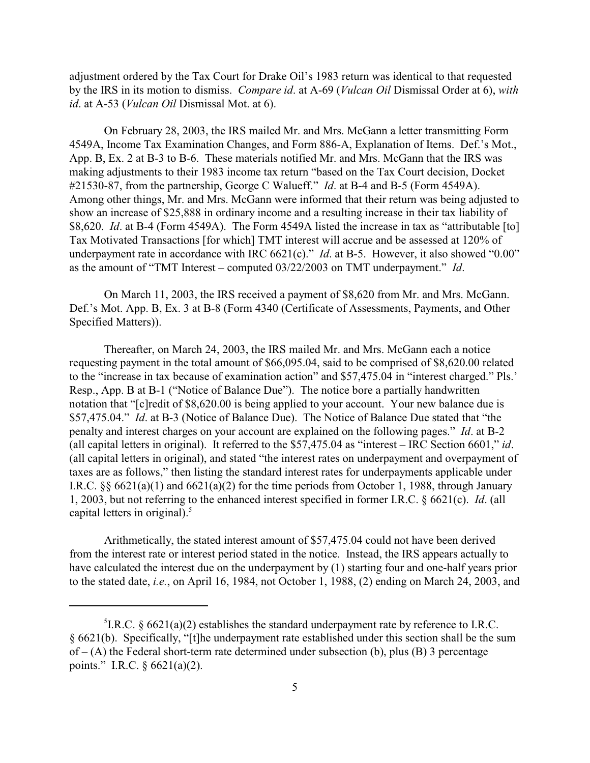adjustment ordered by the Tax Court for Drake Oil's 1983 return was identical to that requested by the IRS in its motion to dismiss. *Compare id*. at A-69 (*Vulcan Oil* Dismissal Order at 6), *with id*. at A-53 (*Vulcan Oil* Dismissal Mot. at 6).

On February 28, 2003, the IRS mailed Mr. and Mrs. McGann a letter transmitting Form 4549A, Income Tax Examination Changes, and Form 886-A, Explanation of Items. Def.'s Mot., App. B, Ex. 2 at B-3 to B-6. These materials notified Mr. and Mrs. McGann that the IRS was making adjustments to their 1983 income tax return "based on the Tax Court decision, Docket #21530-87, from the partnership, George C Walueff." *Id*. at B-4 and B-5 (Form 4549A). Among other things, Mr. and Mrs. McGann were informed that their return was being adjusted to show an increase of \$25,888 in ordinary income and a resulting increase in their tax liability of \$8,620. *Id*. at B-4 (Form 4549A). The Form 4549A listed the increase in tax as "attributable [to] Tax Motivated Transactions [for which] TMT interest will accrue and be assessed at 120% of underpayment rate in accordance with IRC 6621(c)." *Id*. at B-5. However, it also showed "0.00" as the amount of "TMT Interest – computed 03/22/2003 on TMT underpayment." *Id*.

On March 11, 2003, the IRS received a payment of \$8,620 from Mr. and Mrs. McGann. Def.'s Mot. App. B, Ex. 3 at B-8 (Form 4340 (Certificate of Assessments, Payments, and Other Specified Matters)).

Thereafter, on March 24, 2003, the IRS mailed Mr. and Mrs. McGann each a notice requesting payment in the total amount of \$66,095.04, said to be comprised of \$8,620.00 related to the "increase in tax because of examination action" and \$57,475.04 in "interest charged." Pls.' Resp., App. B at B-1 ("Notice of Balance Due"). The notice bore a partially handwritten notation that "[c]redit of \$8,620.00 is being applied to your account. Your new balance due is \$57,475.04." *Id*. at B-3 (Notice of Balance Due). The Notice of Balance Due stated that "the penalty and interest charges on your account are explained on the following pages." *Id*. at B-2 (all capital letters in original). It referred to the \$57,475.04 as "interest – IRC Section 6601," *id*. (all capital letters in original), and stated "the interest rates on underpayment and overpayment of taxes are as follows," then listing the standard interest rates for underpayments applicable under I.R.C.  $\S\S 6621(a)(1)$  and  $6621(a)(2)$  for the time periods from October 1, 1988, through January 1, 2003, but not referring to the enhanced interest specified in former I.R.C. § 6621(c). *Id*. (all capital letters in original).<sup>5</sup>

Arithmetically, the stated interest amount of \$57,475.04 could not have been derived from the interest rate or interest period stated in the notice. Instead, the IRS appears actually to have calculated the interest due on the underpayment by (1) starting four and one-half years prior to the stated date, *i.e.*, on April 16, 1984, not October 1, 1988, (2) ending on March 24, 2003, and

<sup>&</sup>lt;sup>5</sup>I.R.C. § 6621(a)(2) establishes the standard underpayment rate by reference to I.R.C. § 6621(b). Specifically, "[t]he underpayment rate established under this section shall be the sum  $of - (A)$  the Federal short-term rate determined under subsection (b), plus (B) 3 percentage points." I.R.C. § 6621(a)(2).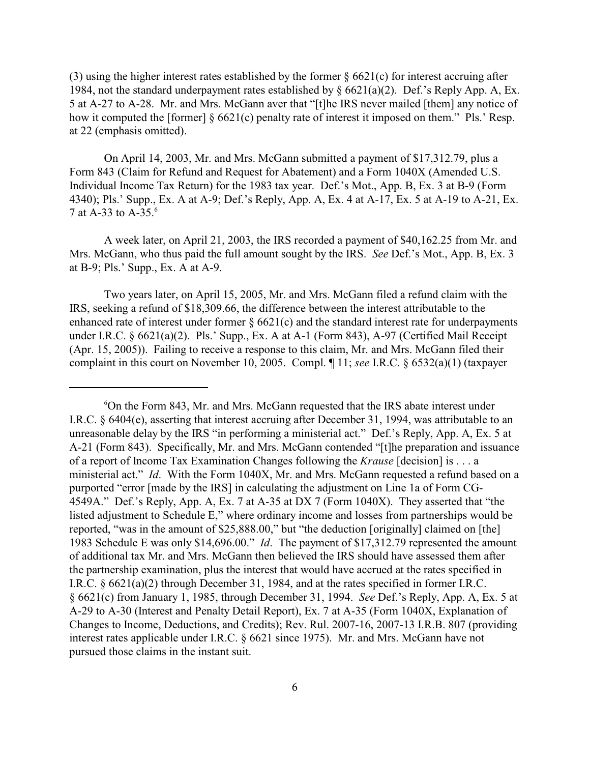(3) using the higher interest rates established by the former § 6621(c) for interest accruing after 1984, not the standard underpayment rates established by  $\S 6621(a)(2)$ . Def.'s Reply App. A, Ex. 5 at A-27 to A-28. Mr. and Mrs. McGann aver that "[t]he IRS never mailed [them] any notice of how it computed the [former] § 6621(c) penalty rate of interest it imposed on them." Pls.' Resp. at 22 (emphasis omitted).

On April 14, 2003, Mr. and Mrs. McGann submitted a payment of \$17,312.79, plus a Form 843 (Claim for Refund and Request for Abatement) and a Form 1040X (Amended U.S. Individual Income Tax Return) for the 1983 tax year. Def.'s Mot., App. B, Ex. 3 at B-9 (Form 4340); Pls.' Supp., Ex. A at A-9; Def.'s Reply, App. A, Ex. 4 at A-17, Ex. 5 at A-19 to A-21, Ex. 7 at A-33 to A-35.<sup>6</sup>

A week later, on April 21, 2003, the IRS recorded a payment of \$40,162.25 from Mr. and Mrs. McGann, who thus paid the full amount sought by the IRS. *See* Def.'s Mot., App. B, Ex. 3 at B-9; Pls.' Supp., Ex. A at A-9.

Two years later, on April 15, 2005, Mr. and Mrs. McGann filed a refund claim with the IRS, seeking a refund of \$18,309.66, the difference between the interest attributable to the enhanced rate of interest under former  $\S 6621(c)$  and the standard interest rate for underpayments under I.R.C. § 6621(a)(2). Pls.' Supp., Ex. A at A-1 (Form 843), A-97 (Certified Mail Receipt (Apr. 15, 2005)). Failing to receive a response to this claim, Mr. and Mrs. McGann filed their complaint in this court on November 10, 2005. Compl. ¶ 11; *see* I.R.C. § 6532(a)(1) (taxpayer

<sup>&</sup>lt;sup>6</sup>On the Form 843, Mr. and Mrs. McGann requested that the IRS abate interest under I.R.C. § 6404(e), asserting that interest accruing after December 31, 1994, was attributable to an unreasonable delay by the IRS "in performing a ministerial act." Def.'s Reply, App. A, Ex. 5 at A-21 (Form 843). Specifically, Mr. and Mrs. McGann contended "[t]he preparation and issuance of a report of Income Tax Examination Changes following the *Krause* [decision] is . . . a ministerial act." *Id*. With the Form 1040X, Mr. and Mrs. McGann requested a refund based on a purported "error [made by the IRS] in calculating the adjustment on Line 1a of Form CG-4549A." Def.'s Reply, App. A, Ex. 7 at A-35 at DX 7 (Form 1040X). They asserted that "the listed adjustment to Schedule E," where ordinary income and losses from partnerships would be reported, "was in the amount of \$25,888.00," but "the deduction [originally] claimed on [the] 1983 Schedule E was only \$14,696.00." *Id*. The payment of \$17,312.79 represented the amount of additional tax Mr. and Mrs. McGann then believed the IRS should have assessed them after the partnership examination, plus the interest that would have accrued at the rates specified in I.R.C. § 6621(a)(2) through December 31, 1984, and at the rates specified in former I.R.C. § 6621(c) from January 1, 1985, through December 31, 1994. *See* Def.'s Reply, App. A, Ex. 5 at A-29 to A-30 (Interest and Penalty Detail Report), Ex. 7 at A-35 (Form 1040X, Explanation of Changes to Income, Deductions, and Credits); Rev. Rul. 2007-16, 2007-13 I.R.B. 807 (providing interest rates applicable under I.R.C. § 6621 since 1975). Mr. and Mrs. McGann have not pursued those claims in the instant suit.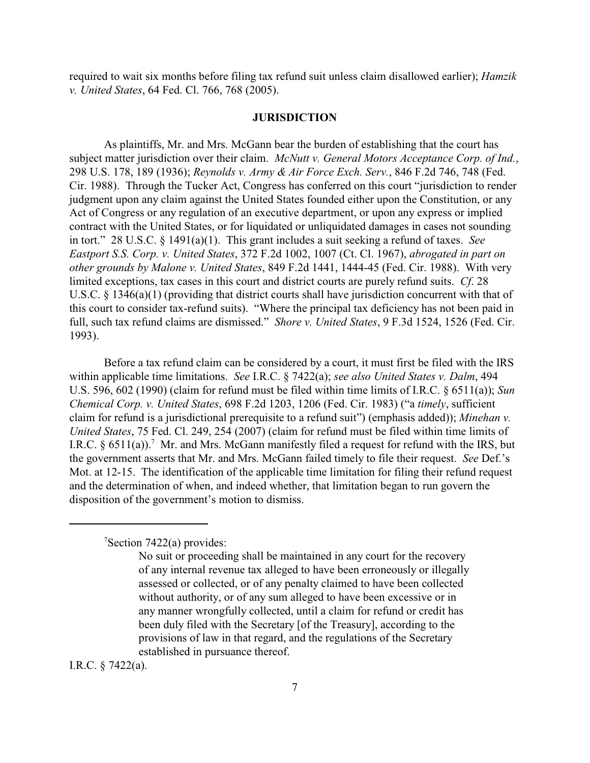required to wait six months before filing tax refund suit unless claim disallowed earlier); *Hamzik v. United States*, 64 Fed. Cl. 766, 768 (2005).

#### **JURISDICTION**

As plaintiffs, Mr. and Mrs. McGann bear the burden of establishing that the court has subject matter jurisdiction over their claim. *McNutt v. General Motors Acceptance Corp. of Ind.*, 298 U.S. 178, 189 (1936); *Reynolds v. Army & Air Force Exch. Serv.*, 846 F.2d 746, 748 (Fed. Cir. 1988). Through the Tucker Act, Congress has conferred on this court "jurisdiction to render judgment upon any claim against the United States founded either upon the Constitution, or any Act of Congress or any regulation of an executive department, or upon any express or implied contract with the United States, or for liquidated or unliquidated damages in cases not sounding in tort." 28 U.S.C. § 1491(a)(1). This grant includes a suit seeking a refund of taxes. *See Eastport S.S. Corp. v. United States*, 372 F.2d 1002, 1007 (Ct. Cl. 1967), *abrogated in part on other grounds by Malone v. United States*, 849 F.2d 1441, 1444-45 (Fed. Cir. 1988). With very limited exceptions, tax cases in this court and district courts are purely refund suits. *Cf*. 28 U.S.C. § 1346(a)(1) (providing that district courts shall have jurisdiction concurrent with that of this court to consider tax-refund suits)."Where the principal tax deficiency has not been paid in full, such tax refund claims are dismissed." *Shore v. United States*, 9 F.3d 1524, 1526 (Fed. Cir. 1993).

Before a tax refund claim can be considered by a court, it must first be filed with the IRS within applicable time limitations. *See* I.R.C. § 7422(a); *see also United States v. Dalm*, 494 U.S. 596, 602 (1990) (claim for refund must be filed within time limits of I.R.C. § 6511(a)); *Sun Chemical Corp. v. United States*, 698 F.2d 1203, 1206 (Fed. Cir. 1983) ("a *timely*, sufficient claim for refund is a jurisdictional prerequisite to a refund suit") (emphasis added)); *Minehan v. United States*, 75 Fed. Cl. 249, 254 (2007) (claim for refund must be filed within time limits of I.R.C.  $\S 6511(a)$ .<sup>7</sup> Mr. and Mrs. McGann manifestly filed a request for refund with the IRS, but the government asserts that Mr. and Mrs. McGann failed timely to file their request. *See* Def.'s Mot. at 12-15. The identification of the applicable time limitation for filing their refund request and the determination of when, and indeed whether, that limitation began to run govern the disposition of the government's motion to dismiss.

 $\text{7}$ Section 7422(a) provides:

I.R.C. § 7422(a).

No suit or proceeding shall be maintained in any court for the recovery of any internal revenue tax alleged to have been erroneously or illegally assessed or collected, or of any penalty claimed to have been collected without authority, or of any sum alleged to have been excessive or in any manner wrongfully collected, until a claim for refund or credit has been duly filed with the Secretary [of the Treasury], according to the provisions of law in that regard, and the regulations of the Secretary established in pursuance thereof.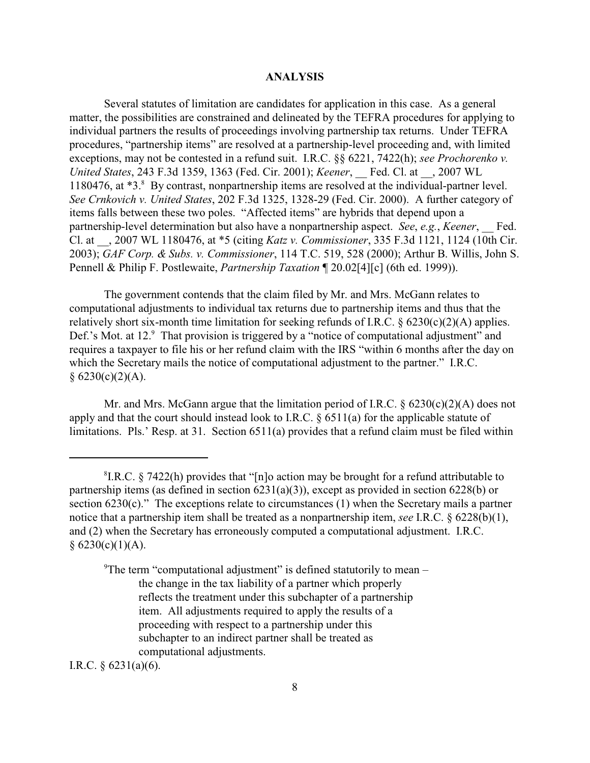#### **ANALYSIS**

Several statutes of limitation are candidates for application in this case. As a general matter, the possibilities are constrained and delineated by the TEFRA procedures for applying to individual partners the results of proceedings involving partnership tax returns. Under TEFRA procedures, "partnership items" are resolved at a partnership-level proceeding and, with limited exceptions, may not be contested in a refund suit. I.R.C. §§ 6221, 7422(h); *see Prochorenko v. United States*, 243 F.3d 1359, 1363 (Fed. Cir. 2001); *Keener*, \_\_ Fed. Cl. at \_\_, 2007 WL 1180476, at \*3.<sup>8</sup> By contrast, nonpartnership items are resolved at the individual-partner level. *See Crnkovich v. United States*, 202 F.3d 1325, 1328-29 (Fed. Cir. 2000). A further category of items falls between these two poles. "Affected items" are hybrids that depend upon a partnership-level determination but also have a nonpartnership aspect. *See*, *e.g.*, *Keener*, \_\_ Fed. Cl. at \_\_, 2007 WL 1180476, at \*5 (citing *Katz v. Commissioner*, 335 F.3d 1121, 1124 (10th Cir. 2003); *GAF Corp. & Subs. v. Commissioner*, 114 T.C. 519, 528 (2000); Arthur B. Willis, John S. Pennell & Philip F. Postlewaite, *Partnership Taxation* ¶ 20.02[4][c] (6th ed. 1999)).

The government contends that the claim filed by Mr. and Mrs. McGann relates to computational adjustments to individual tax returns due to partnership items and thus that the relatively short six-month time limitation for seeking refunds of I.R.C.  $\S$  6230(c)(2)(A) applies. Def.'s Mot. at 12.<sup>9</sup> That provision is triggered by a "notice of computational adjustment" and requires a taxpayer to file his or her refund claim with the IRS "within 6 months after the day on which the Secretary mails the notice of computational adjustment to the partner." I.R.C.  $§ 6230(c)(2)(A).$ 

Mr. and Mrs. McGann argue that the limitation period of I.R.C.  $\S 6230(c)(2)(A)$  does not apply and that the court should instead look to I.R.C. § 6511(a) for the applicable statute of limitations. Pls.' Resp. at 31. Section 6511(a) provides that a refund claim must be filed within

<sup>9</sup>The term "computational adjustment" is defined statutorily to mean – the change in the tax liability of a partner which properly reflects the treatment under this subchapter of a partnership item. All adjustments required to apply the results of a proceeding with respect to a partnership under this subchapter to an indirect partner shall be treated as computational adjustments.

I.R.C. § 6231(a)(6).

 ${}^8$ I.R.C. § 7422(h) provides that "[n]o action may be brought for a refund attributable to partnership items (as defined in section  $6231(a)(3)$ ), except as provided in section  $6228(b)$  or section 6230(c)." The exceptions relate to circumstances (1) when the Secretary mails a partner notice that a partnership item shall be treated as a nonpartnership item, *see* I.R.C. § 6228(b)(1), and (2) when the Secretary has erroneously computed a computational adjustment. I.R.C.  $§ 6230(c)(1)(A).$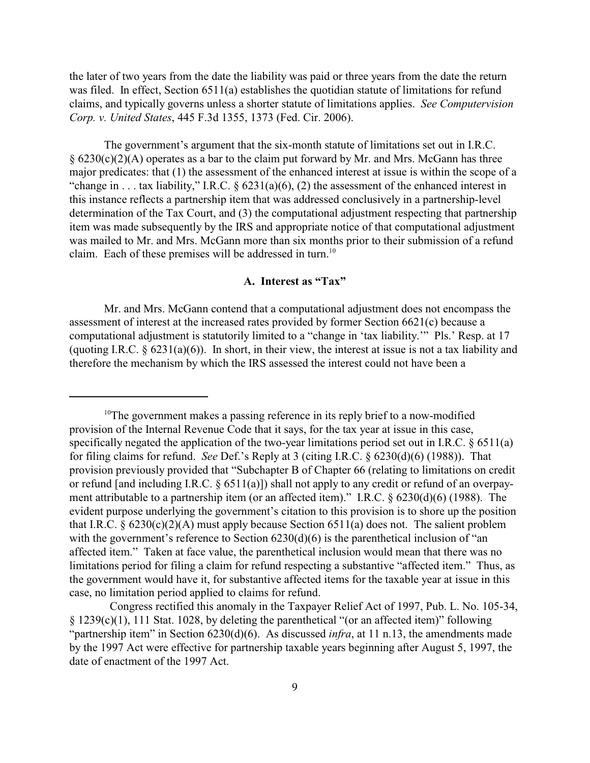the later of two years from the date the liability was paid or three years from the date the return was filed. In effect, Section 6511(a) establishes the quotidian statute of limitations for refund claims, and typically governs unless a shorter statute of limitations applies.*See Computervision Corp. v. United States*, 445 F.3d 1355, 1373 (Fed. Cir. 2006).

The government's argument that the six-month statute of limitations set out in I.R.C.  $\S$  6230(c)(2)(A) operates as a bar to the claim put forward by Mr. and Mrs. McGann has three major predicates: that (1) the assessment of the enhanced interest at issue is within the scope of a "change in . . . tax liability," I.R.C.  $\S$  6231(a)(6), (2) the assessment of the enhanced interest in this instance reflects a partnership item that was addressed conclusively in a partnership-level determination of the Tax Court, and (3) the computational adjustment respecting that partnership item was made subsequently by the IRS and appropriate notice of that computational adjustment was mailed to Mr. and Mrs. McGann more than six months prior to their submission of a refund claim. Each of these premises will be addressed in turn.<sup>10</sup>

## **A. Interest as "Tax"**

Mr. and Mrs. McGann contend that a computational adjustment does not encompass the assessment of interest at the increased rates provided by former Section 6621(c) because a computational adjustment is statutorily limited to a "change in 'tax liability.'" Pls.' Resp. at 17 (quoting I.R.C. § 6231(a)(6)). In short, in their view, the interest at issue is not a tax liability and therefore the mechanism by which the IRS assessed the interest could not have been a

 $10$ <sup>10</sup>The government makes a passing reference in its reply brief to a now-modified provision of the Internal Revenue Code that it says, for the tax year at issue in this case, specifically negated the application of the two-year limitations period set out in I.R.C. § 6511(a) for filing claims for refund. *See* Def.'s Reply at 3 (citing I.R.C. § 6230(d)(6) (1988)). That provision previously provided that "Subchapter B of Chapter 66 (relating to limitations on credit or refund [and including I.R.C. § 6511(a)]) shall not apply to any credit or refund of an overpayment attributable to a partnership item (or an affected item)." I.R.C. § 6230(d)(6) (1988). The evident purpose underlying the government's citation to this provision is to shore up the position that I.R.C.  $\S 6230(c)(2)(A)$  must apply because Section 6511(a) does not. The salient problem with the government's reference to Section 6230(d)(6) is the parenthetical inclusion of "an affected item." Taken at face value, the parenthetical inclusion would mean that there was no limitations period for filing a claim for refund respecting a substantive "affected item." Thus, as the government would have it, for substantive affected items for the taxable year at issue in this case, no limitation period applied to claims for refund.

Congress rectified this anomaly in the Taxpayer Relief Act of 1997, Pub. L. No. 105-34, § 1239(c)(1), 111 Stat. 1028, by deleting the parenthetical "(or an affected item)" following "partnership item" in Section 6230(d)(6). As discussed *infra*, at 11 n.13, the amendments made by the 1997 Act were effective for partnership taxable years beginning after August 5, 1997, the date of enactment of the 1997 Act.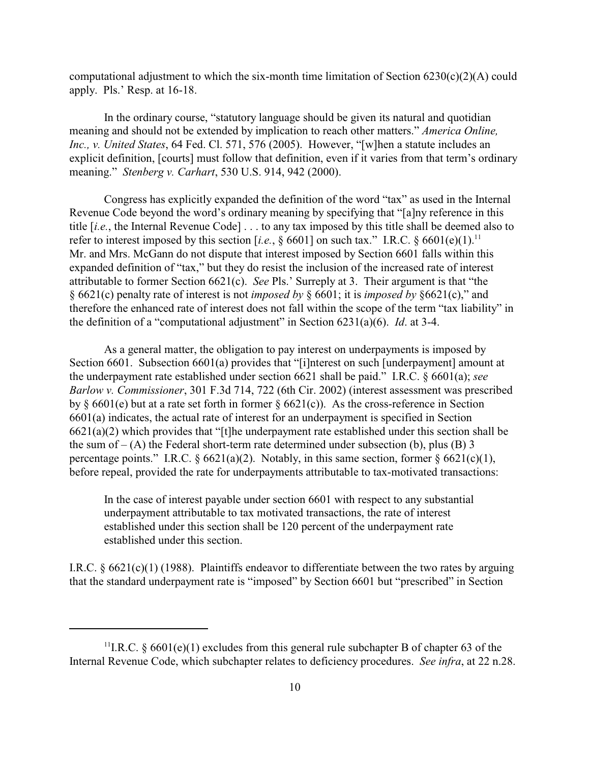computational adjustment to which the six-month time limitation of Section  $6230(c)(2)(A)$  could apply. Pls.' Resp. at 16-18.

In the ordinary course, "statutory language should be given its natural and quotidian meaning and should not be extended by implication to reach other matters." *America Online, Inc., v. United States*, 64 Fed. Cl. 571, 576 (2005). However, "[w]hen a statute includes an explicit definition, [courts] must follow that definition, even if it varies from that term's ordinary meaning." *Stenberg v. Carhart*, 530 U.S. 914, 942 (2000).

Congress has explicitly expanded the definition of the word "tax" as used in the Internal Revenue Code beyond the word's ordinary meaning by specifying that "[a]ny reference in this title [*i.e.*, the Internal Revenue Code] . . . to any tax imposed by this title shall be deemed also to refer to interest imposed by this section [*i.e.*,  $\S 6601$ ] on such tax." I.R.C.  $\S 6601(e)(1)$ .<sup>11</sup> Mr. and Mrs. McGann do not dispute that interest imposed by Section 6601 falls within this expanded definition of "tax," but they do resist the inclusion of the increased rate of interest attributable to former Section 6621(c). *See* Pls.' Surreply at 3. Their argument is that "the § 6621(c) penalty rate of interest is not *imposed by* § 6601; it is *imposed by* §6621(c)," and therefore the enhanced rate of interest does not fall within the scope of the term "tax liability" in the definition of a "computational adjustment" in Section 6231(a)(6). *Id*. at 3-4.

As a general matter, the obligation to pay interest on underpayments is imposed by Section 6601. Subsection 6601(a) provides that "[i]nterest on such [underpayment] amount at the underpayment rate established under section 6621 shall be paid." I.R.C. § 6601(a); *see Barlow v. Commissioner*, 301 F.3d 714, 722 (6th Cir. 2002) (interest assessment was prescribed by  $\S$  6601(e) but at a rate set forth in former  $\S$  6621(c)). As the cross-reference in Section 6601(a) indicates, the actual rate of interest for an underpayment is specified in Section 6621(a)(2) which provides that "[t]he underpayment rate established under this section shall be the sum of  $-$  (A) the Federal short-term rate determined under subsection (b), plus (B) 3 percentage points." I.R.C.  $\S 6621(a)(2)$ . Notably, in this same section, former  $\S 6621(c)(1)$ , before repeal, provided the rate for underpayments attributable to tax-motivated transactions:

In the case of interest payable under section 6601 with respect to any substantial underpayment attributable to tax motivated transactions, the rate of interest established under this section shall be 120 percent of the underpayment rate established under this section.

I.R.C. § 6621(c)(1) (1988). Plaintiffs endeavor to differentiate between the two rates by arguing that the standard underpayment rate is "imposed" by Section 6601 but "prescribed" in Section

<sup>&</sup>lt;sup>11</sup>I.R.C. § 6601(e)(1) excludes from this general rule subchapter B of chapter 63 of the Internal Revenue Code, which subchapter relates to deficiency procedures. *See infra*, at 22 n.28.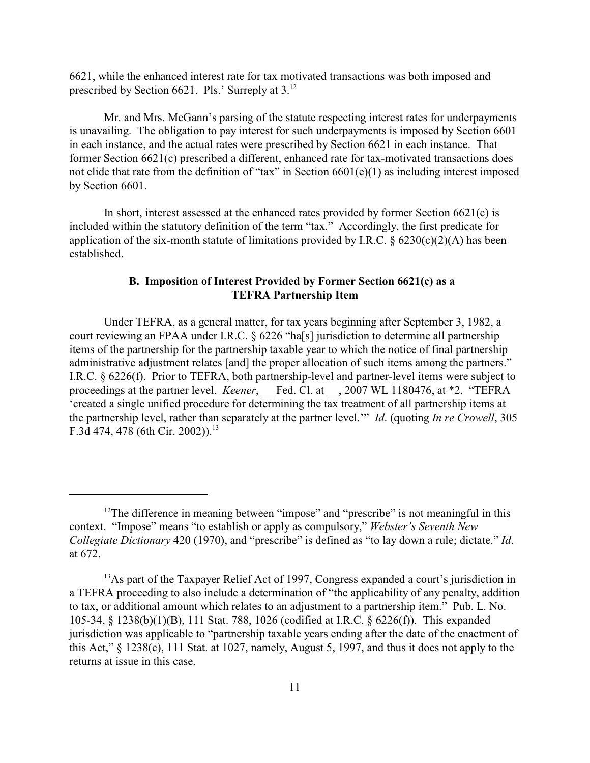6621, while the enhanced interest rate for tax motivated transactions was both imposed and prescribed by Section 6621. Pls.' Surreply at 3.<sup>12</sup>

Mr. and Mrs. McGann's parsing of the statute respecting interest rates for underpayments is unavailing. The obligation to pay interest for such underpayments is imposed by Section 6601 in each instance, and the actual rates were prescribed by Section 6621 in each instance. That former Section 6621(c) prescribed a different, enhanced rate for tax-motivated transactions does not elide that rate from the definition of "tax" in Section 6601(e)(1) as including interest imposed by Section 6601.

In short, interest assessed at the enhanced rates provided by former Section  $6621(c)$  is included within the statutory definition of the term "tax." Accordingly, the first predicate for application of the six-month statute of limitations provided by I.R.C.  $\S$  6230(c)(2)(A) has been established.

# **B. Imposition of Interest Provided by Former Section 6621(c) as a TEFRA Partnership Item**

Under TEFRA, as a general matter, for tax years beginning after September 3, 1982, a court reviewing an FPAA under I.R.C. § 6226 "ha[s] jurisdiction to determine all partnership items of the partnership for the partnership taxable year to which the notice of final partnership administrative adjustment relates [and] the proper allocation of such items among the partners." I.R.C. § 6226(f). Prior to TEFRA, both partnership-level and partner-level items were subject to proceedings at the partner level. *Keener*, Fed. Cl. at 3007 WL 1180476, at \*2. "TEFRA 'created a single unified procedure for determining the tax treatment of all partnership items at the partnership level, rather than separately at the partner level.'" *Id*. (quoting *In re Crowell*, 305 F.3d 474, 478 (6th Cir. 2002)).<sup>13</sup>

 $12$ The difference in meaning between "impose" and "prescribe" is not meaningful in this context. "Impose" means "to establish or apply as compulsory," *Webster's Seventh New Collegiate Dictionary* 420 (1970), and "prescribe" is defined as "to lay down a rule; dictate." *Id*. at 672.

 $^{13}$ As part of the Taxpayer Relief Act of 1997, Congress expanded a court's jurisdiction in a TEFRA proceeding to also include a determination of "the applicability of any penalty, addition to tax, or additional amount which relates to an adjustment to a partnership item." Pub. L. No. 105-34, § 1238(b)(1)(B), 111 Stat. 788, 1026 (codified at I.R.C. § 6226(f)). This expanded jurisdiction was applicable to "partnership taxable years ending after the date of the enactment of this Act," § 1238(c), 111 Stat. at 1027, namely, August 5, 1997, and thus it does not apply to the returns at issue in this case.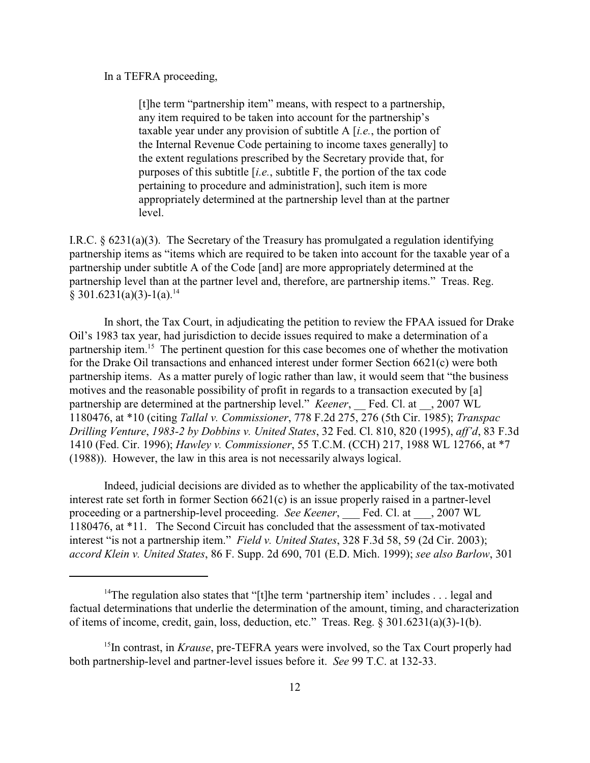In a TEFRA proceeding,

[t]he term "partnership item" means, with respect to a partnership, any item required to be taken into account for the partnership's taxable year under any provision of subtitle A [*i.e.*, the portion of the Internal Revenue Code pertaining to income taxes generally] to the extent regulations prescribed by the Secretary provide that, for purposes of this subtitle [*i.e.*, subtitle F, the portion of the tax code pertaining to procedure and administration], such item is more appropriately determined at the partnership level than at the partner level.

I.R.C. § 6231(a)(3). The Secretary of the Treasury has promulgated a regulation identifying partnership items as "items which are required to be taken into account for the taxable year of a partnership under subtitle A of the Code [and] are more appropriately determined at the partnership level than at the partner level and, therefore, are partnership items." Treas. Reg.  $§ 301.6231(a)(3)-1(a).<sup>14</sup>$ 

In short, the Tax Court, in adjudicating the petition to review the FPAA issued for Drake Oil's 1983 tax year, had jurisdiction to decide issues required to make a determination of a partnership item.<sup>15</sup> The pertinent question for this case becomes one of whether the motivation for the Drake Oil transactions and enhanced interest under former Section 6621(c) were both partnership items. As a matter purely of logic rather than law, it would seem that "the business motives and the reasonable possibility of profit in regards to a transaction executed by [a] partnership are determined at the partnership level." *Keener*, Fed. Cl. at , 2007 WL 1180476, at \*10 (citing *Tallal v. Commissioner*, 778 F.2d 275, 276 (5th Cir. 1985); *Transpac Drilling Venture*, *1983-2 by Dobbins v. United States*, 32 Fed. Cl. 810, 820 (1995), *aff'd*, 83 F.3d 1410 (Fed. Cir. 1996); *Hawley v. Commissioner*, 55 T.C.M. (CCH) 217, 1988 WL 12766, at \*7 (1988)). However, the law in this area is not necessarily always logical.

Indeed, judicial decisions are divided as to whether the applicability of the tax-motivated interest rate set forth in former Section 6621(c) is an issue properly raised in a partner-level proceeding or a partnership-level proceeding. *See Keener*, \_\_\_ Fed. Cl. at \_\_\_, 2007 WL 1180476, at \*11. The Second Circuit has concluded that the assessment of tax-motivated interest "is not a partnership item." *Field v. United States*, 328 F.3d 58, 59 (2d Cir. 2003); *accord Klein v. United States*, 86 F. Supp. 2d 690, 701 (E.D. Mich. 1999); *see also Barlow*, 301

<sup>&</sup>lt;sup>14</sup>The regulation also states that "[t]he term 'partnership item' includes . . . legal and factual determinations that underlie the determination of the amount, timing, and characterization of items of income, credit, gain, loss, deduction, etc." Treas. Reg. § 301.6231(a)(3)-1(b).

<sup>&</sup>lt;sup>15</sup>In contrast, in *Krause*, pre-TEFRA years were involved, so the Tax Court properly had both partnership-level and partner-level issues before it. *See* 99 T.C. at 132-33.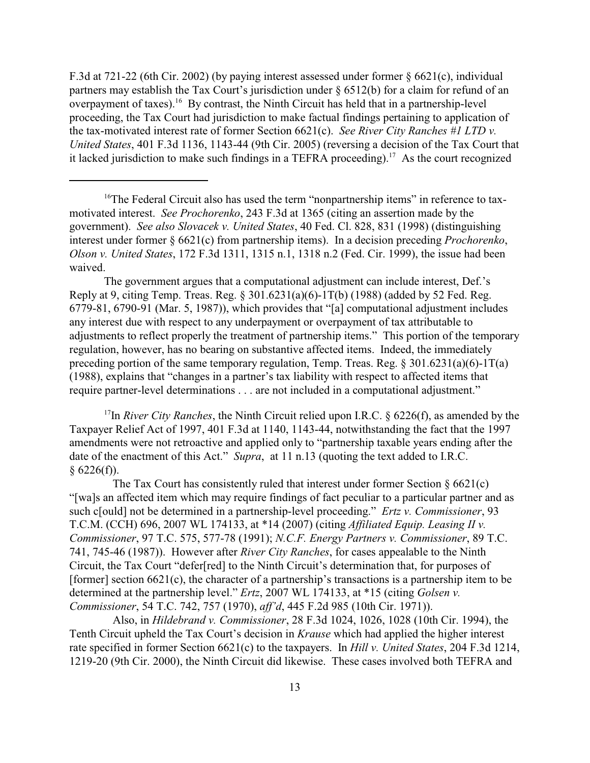F.3d at 721-22 (6th Cir. 2002) (by paying interest assessed under former § 6621(c), individual partners may establish the Tax Court's jurisdiction under § 6512(b) for a claim for refund of an overpayment of taxes).<sup>16</sup> By contrast, the Ninth Circuit has held that in a partnership-level proceeding, the Tax Court had jurisdiction to make factual findings pertaining to application of the tax-motivated interest rate of former Section 6621(c). *See River City Ranches #1 LTD v. United States*, 401 F.3d 1136, 1143-44 (9th Cir. 2005) (reversing a decision of the Tax Court that it lacked jurisdiction to make such findings in a TEFRA proceeding).<sup>17</sup> As the court recognized

The government argues that a computational adjustment can include interest, Def.'s Reply at 9, citing Temp. Treas. Reg. § 301.6231(a)(6)-1T(b) (1988) (added by 52 Fed. Reg. 6779-81, 6790-91 (Mar. 5, 1987)), which provides that "[a] computational adjustment includes any interest due with respect to any underpayment or overpayment of tax attributable to adjustments to reflect properly the treatment of partnership items." This portion of the temporary regulation, however, has no bearing on substantive affected items. Indeed, the immediately preceding portion of the same temporary regulation, Temp. Treas. Reg.  $\S 301.6231(a)(6)-1T(a)$ (1988), explains that "changes in a partner's tax liability with respect to affected items that require partner-level determinations . . . are not included in a computational adjustment."

<sup>17</sup>In *River City Ranches*, the Ninth Circuit relied upon I.R.C.  $\S$  6226(f), as amended by the Taxpayer Relief Act of 1997, 401 F.3d at 1140, 1143-44, notwithstanding the fact that the 1997 amendments were not retroactive and applied only to "partnership taxable years ending after the date of the enactment of this Act." *Supra*, at 11 n.13 (quoting the text added to I.R.C.  $§ 6226(f)).$ 

The Tax Court has consistently ruled that interest under former Section  $\S 6621(c)$ "[wa]s an affected item which may require findings of fact peculiar to a particular partner and as such c[ould] not be determined in a partnership-level proceeding." *Ertz v. Commissioner*, 93 T.C.M. (CCH) 696, 2007 WL 174133, at \*14 (2007) (citing *Affiliated Equip. Leasing II v. Commissioner*, 97 T.C. 575, 577-78 (1991); *N.C.F. Energy Partners v. Commissioner*, 89 T.C. 741, 745-46 (1987)). However after *River City Ranches*, for cases appealable to the Ninth Circuit, the Tax Court "defer[red] to the Ninth Circuit's determination that, for purposes of [former] section 6621(c), the character of a partnership's transactions is a partnership item to be determined at the partnership level." *Ertz*, 2007 WL 174133, at \*15 (citing *Golsen v. Commissioner*, 54 T.C. 742, 757 (1970), *aff'd*, 445 F.2d 985 (10th Cir. 1971)).

 Also, in *Hildebrand v. Commissioner*, 28 F.3d 1024, 1026, 1028 (10th Cir. 1994), the Tenth Circuit upheld the Tax Court's decision in *Krause* which had applied the higher interest rate specified in former Section 6621(c) to the taxpayers. In *Hill v. United States*, 204 F.3d 1214, 1219-20 (9th Cir. 2000), the Ninth Circuit did likewise. These cases involved both TEFRA and

<sup>&</sup>lt;sup>16</sup>The Federal Circuit also has used the term "nonpartnership items" in reference to taxmotivated interest. *See Prochorenko*, 243 F.3d at 1365 (citing an assertion made by the government). *See also Slovacek v. United States*, 40 Fed. Cl. 828, 831 (1998) (distinguishing interest under former § 6621(c) from partnership items). In a decision preceding *Prochorenko*, *Olson v. United States*, 172 F.3d 1311, 1315 n.1, 1318 n.2 (Fed. Cir. 1999), the issue had been waived.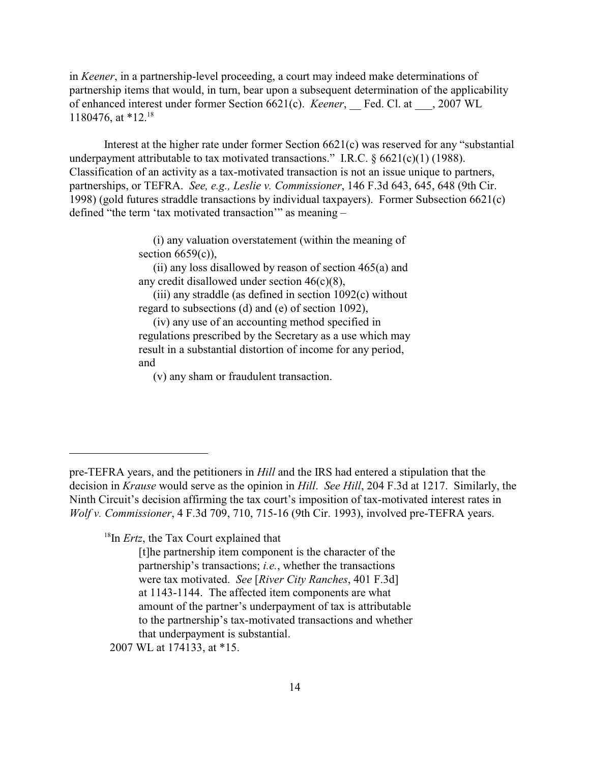in *Keener*, in a partnership-level proceeding, a court may indeed make determinations of partnership items that would, in turn, bear upon a subsequent determination of the applicability of enhanced interest under former Section 6621(c). *Keener*, Fed. Cl. at , 2007 WL 1180476, at \*12.<sup>18</sup>

Interest at the higher rate under former Section 6621(c) was reserved for any "substantial underpayment attributable to tax motivated transactions." I.R.C.  $\S 6621(c)(1)$  (1988). Classification of an activity as a tax-motivated transaction is not an issue unique to partners, partnerships, or TEFRA. *See, e.g., Leslie v. Commissioner*, 146 F.3d 643, 645, 648 (9th Cir. 1998) (gold futures straddle transactions by individual taxpayers). Former Subsection 6621(c) defined "the term 'tax motivated transaction'" as meaning –

> (i) any valuation overstatement (within the meaning of section  $6659(c)$ ),

> (ii) any loss disallowed by reason of section  $465(a)$  and any credit disallowed under section 46(c)(8),

> (iii) any straddle (as defined in section 1092(c) without regard to subsections (d) and (e) of section 1092),

> (iv) any use of an accounting method specified in regulations prescribed by the Secretary as a use which may result in a substantial distortion of income for any period, and

(v) any sham or fraudulent transaction.

 $18$ In *Ertz*, the Tax Court explained that

2007 WL at 174133, at \*15.

pre-TEFRA years, and the petitioners in *Hill* and the IRS had entered a stipulation that the decision in *Krause* would serve as the opinion in *Hill*. *See Hill*, 204 F.3d at 1217. Similarly, the Ninth Circuit's decision affirming the tax court's imposition of tax-motivated interest rates in *Wolf v. Commissioner*, 4 F.3d 709, 710, 715-16 (9th Cir. 1993), involved pre-TEFRA years.

<sup>[</sup>t]he partnership item component is the character of the partnership's transactions; *i.e.*, whether the transactions were tax motivated. *See* [*River City Ranches*, 401 F.3d] at 1143-1144. The affected item components are what amount of the partner's underpayment of tax is attributable to the partnership's tax-motivated transactions and whether that underpayment is substantial.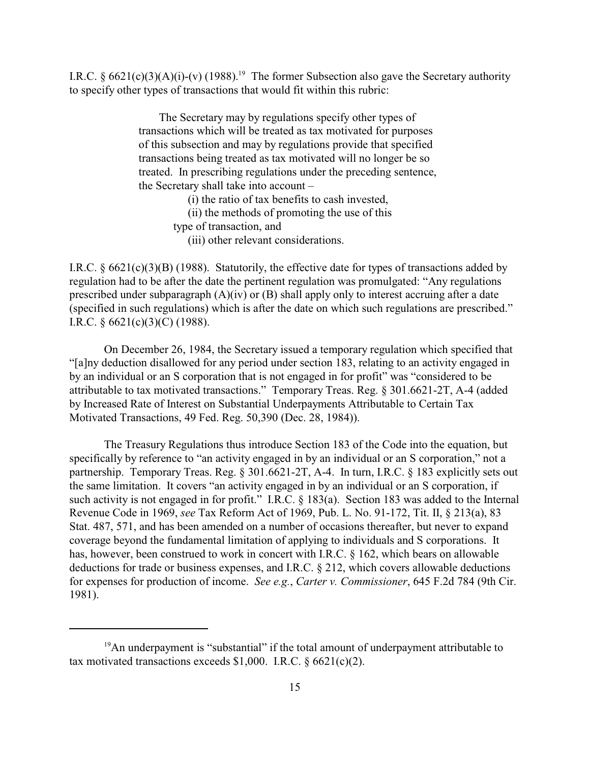I.R.C. §  $6621(c)(3)(A)(i)-(v)$  (1988).<sup>19</sup> The former Subsection also gave the Secretary authority to specify other types of transactions that would fit within this rubric:

> The Secretary may by regulations specify other types of transactions which will be treated as tax motivated for purposes of this subsection and may by regulations provide that specified transactions being treated as tax motivated will no longer be so treated. In prescribing regulations under the preceding sentence, the Secretary shall take into account –

> > (i) the ratio of tax benefits to cash invested,

(ii) the methods of promoting the use of this

type of transaction, and

(iii) other relevant considerations.

I.R.C. § 6621(c)(3)(B) (1988). Statutorily, the effective date for types of transactions added by regulation had to be after the date the pertinent regulation was promulgated: "Any regulations prescribed under subparagraph (A)(iv) or (B) shall apply only to interest accruing after a date (specified in such regulations) which is after the date on which such regulations are prescribed." I.R.C.  $\S 6621(c)(3)(C)$  (1988).

On December 26, 1984, the Secretary issued a temporary regulation which specified that "[a]ny deduction disallowed for any period under section 183, relating to an activity engaged in by an individual or an S corporation that is not engaged in for profit" was "considered to be attributable to tax motivated transactions." Temporary Treas. Reg. § 301.6621-2T, A-4 (added by Increased Rate of Interest on Substantial Underpayments Attributable to Certain Tax Motivated Transactions, 49 Fed. Reg. 50,390 (Dec. 28, 1984)).

The Treasury Regulations thus introduce Section 183 of the Code into the equation, but specifically by reference to "an activity engaged in by an individual or an S corporation," not a partnership. Temporary Treas. Reg. § 301.6621-2T, A-4. In turn, I.R.C. § 183 explicitly sets out the same limitation. It covers "an activity engaged in by an individual or an S corporation, if such activity is not engaged in for profit." I.R.C. § 183(a). Section 183 was added to the Internal Revenue Code in 1969, *see* Tax Reform Act of 1969, Pub. L. No. 91-172, Tit. II, § 213(a), 83 Stat. 487, 571, and has been amended on a number of occasions thereafter, but never to expand coverage beyond the fundamental limitation of applying to individuals and S corporations. It has, however, been construed to work in concert with I.R.C. § 162, which bears on allowable deductions for trade or business expenses, and I.R.C. § 212, which covers allowable deductions for expenses for production of income. *See e.g.*, *Carter v. Commissioner*, 645 F.2d 784 (9th Cir. 1981).

 $19$ An underpayment is "substantial" if the total amount of underpayment attributable to tax motivated transactions exceeds  $$1,000$ . I.R.C.  $§$  6621(c)(2).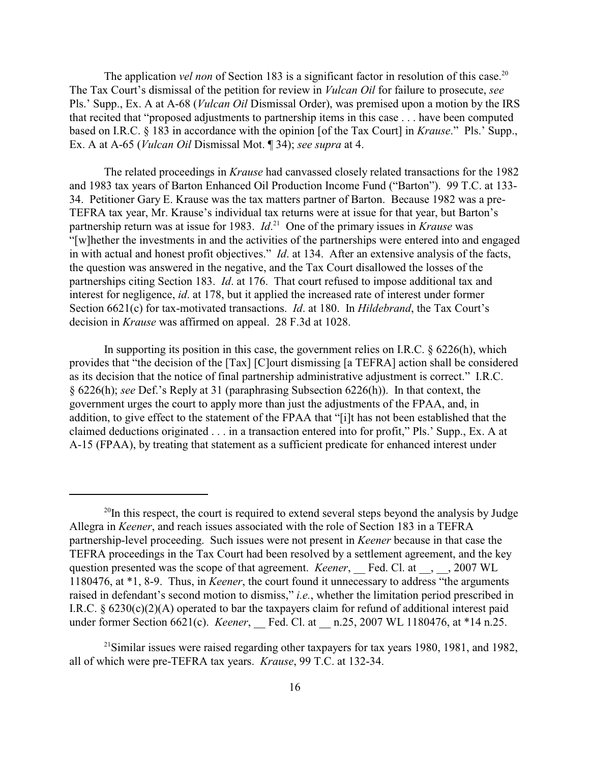The application *vel non* of Section 183 is a significant factor in resolution of this case.<sup>20</sup> The Tax Court's dismissal of the petition for review in *Vulcan Oil* for failure to prosecute, *see* Pls.' Supp., Ex. A at A-68 (*Vulcan Oil* Dismissal Order), was premised upon a motion by the IRS that recited that "proposed adjustments to partnership items in this case . . . have been computed based on I.R.C. § 183 in accordance with the opinion [of the Tax Court] in *Krause*." Pls.' Supp., Ex. A at A-65 (*Vulcan Oil* Dismissal Mot. ¶ 34); *see supra* at 4.

The related proceedings in *Krause* had canvassed closely related transactions for the 1982 and 1983 tax years of Barton Enhanced Oil Production Income Fund ("Barton"). 99 T.C. at 133- 34. Petitioner Gary E. Krause was the tax matters partner of Barton. Because 1982 was a pre-TEFRA tax year, Mr. Krause's individual tax returns were at issue for that year, but Barton's partnership return was at issue for 1983. *Id*<sup>21</sup> One of the primary issues in *Krause* was "[w]hether the investments in and the activities of the partnerships were entered into and engaged in with actual and honest profit objectives." *Id*. at 134. After an extensive analysis of the facts, the question was answered in the negative, and the Tax Court disallowed the losses of the partnerships citing Section 183. *Id*. at 176. That court refused to impose additional tax and interest for negligence, *id*. at 178, but it applied the increased rate of interest under former Section 6621(c) for tax-motivated transactions. *Id*. at 180. In *Hildebrand*, the Tax Court's decision in *Krause* was affirmed on appeal. 28 F.3d at 1028.

In supporting its position in this case, the government relies on I.R.C.  $\S$  6226(h), which provides that "the decision of the [Tax] [C]ourt dismissing [a TEFRA] action shall be considered as its decision that the notice of final partnership administrative adjustment is correct." I.R.C. § 6226(h); *see* Def.'s Reply at 31 (paraphrasing Subsection 6226(h)). In that context, the government urges the court to apply more than just the adjustments of the FPAA, and, in addition, to give effect to the statement of the FPAA that "[i]t has not been established that the claimed deductions originated . . . in a transaction entered into for profit," Pls.' Supp., Ex. A at A-15 (FPAA), by treating that statement as a sufficient predicate for enhanced interest under

 $^{20}$ In this respect, the court is required to extend several steps beyond the analysis by Judge Allegra in *Keener*, and reach issues associated with the role of Section 183 in a TEFRA partnership-level proceeding. Such issues were not present in *Keener* because in that case the TEFRA proceedings in the Tax Court had been resolved by a settlement agreement, and the key question presented was the scope of that agreement. *Keener*, Fed. Cl. at \_\_, \_\_, 2007 WL 1180476, at \*1, 8-9. Thus, in *Keener*, the court found it unnecessary to address "the arguments raised in defendant's second motion to dismiss," *i.e.*, whether the limitation period prescribed in I.R.C. § 6230(c)(2)(A) operated to bar the taxpayers claim for refund of additional interest paid under former Section 6621(c). *Keener*, Fed. Cl. at n.25, 2007 WL 1180476, at \*14 n.25.

 $^{21}$ Similar issues were raised regarding other taxpayers for tax years 1980, 1981, and 1982, all of which were pre-TEFRA tax years. *Krause*, 99 T.C. at 132-34.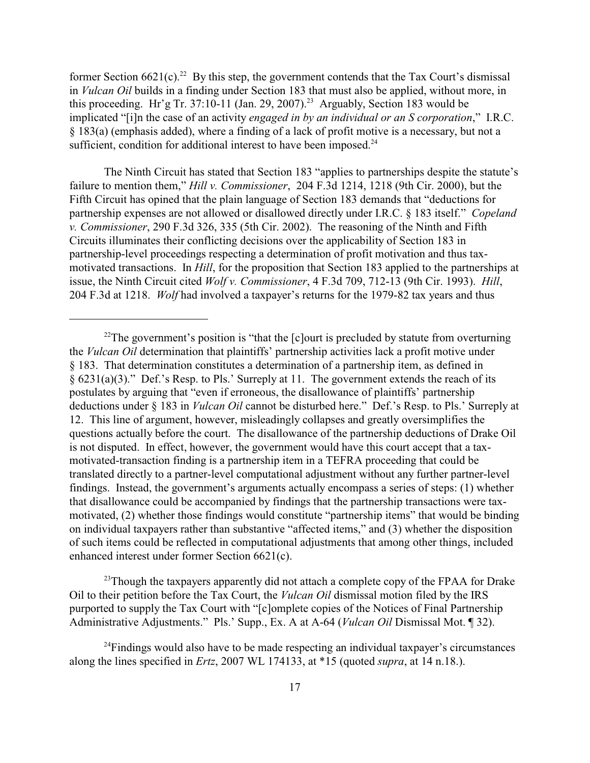former Section  $6621(c)$ .<sup>22</sup> By this step, the government contends that the Tax Court's dismissal in *Vulcan Oil* builds in a finding under Section 183 that must also be applied, without more, in this proceeding. Hr'g Tr. 37:10-11 (Jan. 29, 2007).<sup>23</sup> Arguably, Section 183 would be implicated "[i]n the case of an activity *engaged in by an individual or an S corporation*," I.R.C. § 183(a) (emphasis added), where a finding of a lack of profit motive is a necessary, but not a sufficient, condition for additional interest to have been imposed. $24$ 

The Ninth Circuit has stated that Section 183 "applies to partnerships despite the statute's failure to mention them," *Hill v. Commissioner*, 204 F.3d 1214, 1218 (9th Cir. 2000), but the Fifth Circuit has opined that the plain language of Section 183 demands that "deductions for partnership expenses are not allowed or disallowed directly under I.R.C. § 183 itself." *Copeland v. Commissioner*, 290 F.3d 326, 335 (5th Cir. 2002). The reasoning of the Ninth and Fifth Circuits illuminates their conflicting decisions over the applicability of Section 183 in partnership-level proceedings respecting a determination of profit motivation and thus taxmotivated transactions. In *Hill*, for the proposition that Section 183 applied to the partnerships at issue, the Ninth Circuit cited *Wolf v. Commissioner*, 4 F.3d 709, 712-13 (9th Cir. 1993). *Hill*, 204 F.3d at 1218. *Wolf* had involved a taxpayer's returns for the 1979-82 tax years and thus

 $^{23}$ Though the taxpayers apparently did not attach a complete copy of the FPAA for Drake Oil to their petition before the Tax Court, the *Vulcan Oil* dismissal motion filed by the IRS purported to supply the Tax Court with "[c]omplete copies of the Notices of Final Partnership Administrative Adjustments." Pls.' Supp., Ex. A at A-64 (*Vulcan Oil* Dismissal Mot. ¶ 32).

 $22$ The government's position is "that the [c]ourt is precluded by statute from overturning the *Vulcan Oil* determination that plaintiffs' partnership activities lack a profit motive under § 183. That determination constitutes a determination of a partnership item, as defined in § 6231(a)(3)." Def.'s Resp. to Pls.' Surreply at 11. The government extends the reach of its postulates by arguing that "even if erroneous, the disallowance of plaintiffs' partnership deductions under § 183 in *Vulcan Oil* cannot be disturbed here." Def.'s Resp. to Pls.' Surreply at 12. This line of argument, however, misleadingly collapses and greatly oversimplifies the questions actually before the court. The disallowance of the partnership deductions of Drake Oil is not disputed. In effect, however, the government would have this court accept that a taxmotivated-transaction finding is a partnership item in a TEFRA proceeding that could be translated directly to a partner-level computational adjustment without any further partner-level findings. Instead, the government's arguments actually encompass a series of steps: (1) whether that disallowance could be accompanied by findings that the partnership transactions were taxmotivated, (2) whether those findings would constitute "partnership items" that would be binding on individual taxpayers rather than substantive "affected items," and (3) whether the disposition of such items could be reflected in computational adjustments that among other things, included enhanced interest under former Section 6621(c).

 $^{24}$ Findings would also have to be made respecting an individual taxpayer's circumstances along the lines specified in *Ertz*, 2007 WL 174133, at \*15 (quoted *supra*, at 14 n.18.).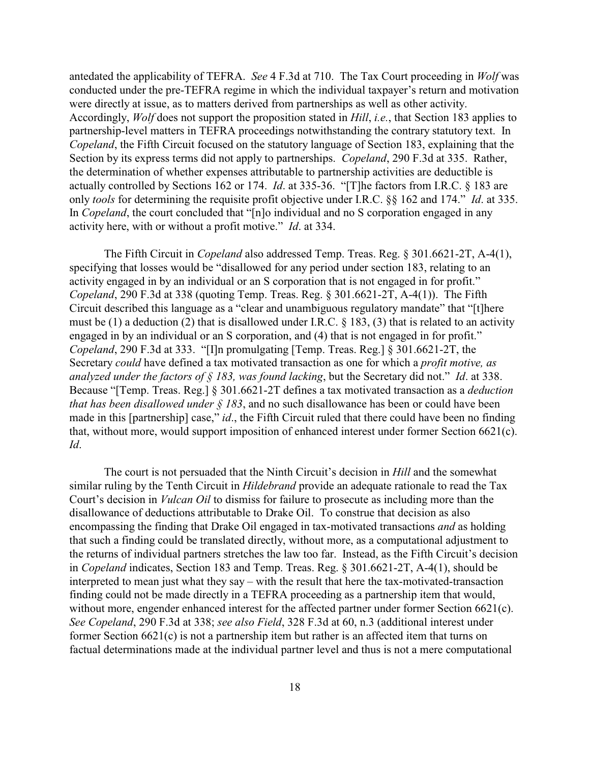antedated the applicability of TEFRA. *See* 4 F.3d at 710. The Tax Court proceeding in *Wolf* was conducted under the pre-TEFRA regime in which the individual taxpayer's return and motivation were directly at issue, as to matters derived from partnerships as well as other activity. Accordingly, *Wolf* does not support the proposition stated in *Hill*, *i.e.*, that Section 183 applies to partnership-level matters in TEFRA proceedings notwithstanding the contrary statutory text. In *Copeland*, the Fifth Circuit focused on the statutory language of Section 183, explaining that the Section by its express terms did not apply to partnerships. *Copeland*, 290 F.3d at 335. Rather, the determination of whether expenses attributable to partnership activities are deductible is actually controlled by Sections 162 or 174. *Id*. at 335-36. "[T]he factors from I.R.C. § 183 are only *tools* for determining the requisite profit objective under I.R.C. §§ 162 and 174." *Id*. at 335. In *Copeland*, the court concluded that "[n]o individual and no S corporation engaged in any activity here, with or without a profit motive." *Id*. at 334.

The Fifth Circuit in *Copeland* also addressed Temp. Treas. Reg. § 301.6621-2T, A-4(1), specifying that losses would be "disallowed for any period under section 183, relating to an activity engaged in by an individual or an S corporation that is not engaged in for profit." *Copeland*, 290 F.3d at 338 (quoting Temp. Treas. Reg. § 301.6621-2T, A-4(1)). The Fifth Circuit described this language as a "clear and unambiguous regulatory mandate" that "[t]here must be (1) a deduction (2) that is disallowed under I.R.C. § 183, (3) that is related to an activity engaged in by an individual or an S corporation, and (4) that is not engaged in for profit." *Copeland*, 290 F.3d at 333. "[I]n promulgating [Temp. Treas. Reg.] § 301.6621-2T, the Secretary *could* have defined a tax motivated transaction as one for which a *profit motive, as analyzed under the factors of § 183, was found lacking*, but the Secretary did not." *Id*. at 338. Because "[Temp. Treas. Reg.] § 301.6621-2T defines a tax motivated transaction as a *deduction that has been disallowed under § 183*, and no such disallowance has been or could have been made in this [partnership] case," *id.*, the Fifth Circuit ruled that there could have been no finding that, without more, would support imposition of enhanced interest under former Section 6621(c). *Id*.

The court is not persuaded that the Ninth Circuit's decision in *Hill* and the somewhat similar ruling by the Tenth Circuit in *Hildebrand* provide an adequate rationale to read the Tax Court's decision in *Vulcan Oil* to dismiss for failure to prosecute as including more than the disallowance of deductions attributable to Drake Oil. To construe that decision as also encompassing the finding that Drake Oil engaged in tax-motivated transactions *and* as holding that such a finding could be translated directly, without more, as a computational adjustment to the returns of individual partners stretches the law too far. Instead, as the Fifth Circuit's decision in *Copeland* indicates, Section 183 and Temp. Treas. Reg. § 301.6621-2T, A-4(1), should be interpreted to mean just what they say – with the result that here the tax-motivated-transaction finding could not be made directly in a TEFRA proceeding as a partnership item that would, without more, engender enhanced interest for the affected partner under former Section 6621(c). *See Copeland*, 290 F.3d at 338; *see also Field*, 328 F.3d at 60, n.3 (additional interest under former Section 6621(c) is not a partnership item but rather is an affected item that turns on factual determinations made at the individual partner level and thus is not a mere computational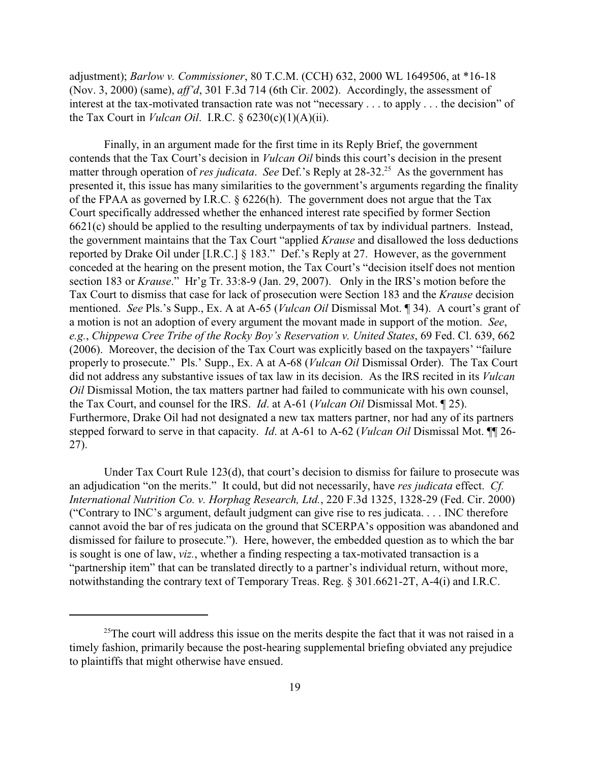adjustment); *Barlow v. Commissioner*, 80 T.C.M. (CCH) 632, 2000 WL 1649506, at \*16-18 (Nov. 3, 2000) (same), *aff'd*, 301 F.3d 714 (6th Cir. 2002). Accordingly, the assessment of interest at the tax-motivated transaction rate was not "necessary . . . to apply . . . the decision" of the Tax Court in *Vulcan Oil*. I.R.C. § 6230(c)(1)(A)(ii).

Finally, in an argument made for the first time in its Reply Brief, the government contends that the Tax Court's decision in *Vulcan Oil* binds this court's decision in the present matter through operation of *res judicata.* See Def.'s Reply at 28-32.<sup>25</sup> As the government has presented it, this issue has many similarities to the government's arguments regarding the finality of the FPAA as governed by I.R.C. § 6226(h). The government does not argue that the Tax Court specifically addressed whether the enhanced interest rate specified by former Section 6621(c) should be applied to the resulting underpayments of tax by individual partners. Instead, the government maintains that the Tax Court "applied *Krause* and disallowed the loss deductions reported by Drake Oil under [I.R.C.] § 183." Def.'s Reply at 27. However, as the government conceded at the hearing on the present motion, the Tax Court's "decision itself does not mention section 183 or *Krause*." Hr'g Tr. 33:8-9 (Jan. 29, 2007). Only in the IRS's motion before the Tax Court to dismiss that case for lack of prosecution were Section 183 and the *Krause* decision mentioned. *See* Pls.'s Supp., Ex. A at A-65 (*Vulcan Oil* Dismissal Mot. ¶ 34). A court's grant of a motion is not an adoption of every argument the movant made in support of the motion. *See*, *e.g.*, *Chippewa Cree Tribe of the Rocky Boy's Reservation v. United States*, 69 Fed. Cl. 639, 662 (2006). Moreover, the decision of the Tax Court was explicitly based on the taxpayers' "failure properly to prosecute." Pls.' Supp., Ex. A at A-68 (*Vulcan Oil* Dismissal Order). The Tax Court did not address any substantive issues of tax law in its decision. As the IRS recited in its *Vulcan Oil* Dismissal Motion, the tax matters partner had failed to communicate with his own counsel, the Tax Court, and counsel for the IRS. *Id*. at A-61 (*Vulcan Oil* Dismissal Mot. ¶ 25). Furthermore, Drake Oil had not designated a new tax matters partner, nor had any of its partners stepped forward to serve in that capacity. *Id*. at A-61 to A-62 (*Vulcan Oil* Dismissal Mot. ¶¶ 26- 27).

Under Tax Court Rule 123(d), that court's decision to dismiss for failure to prosecute was an adjudication "on the merits." It could, but did not necessarily, have *res judicata* effect. *Cf. International Nutrition Co. v. Horphag Research, Ltd.*, 220 F.3d 1325, 1328-29 (Fed. Cir. 2000) ("Contrary to INC's argument, default judgment can give rise to res judicata. . . . INC therefore cannot avoid the bar of res judicata on the ground that SCERPA's opposition was abandoned and dismissed for failure to prosecute."). Here, however, the embedded question as to which the bar is sought is one of law, *viz.*, whether a finding respecting a tax-motivated transaction is a "partnership item" that can be translated directly to a partner's individual return, without more, notwithstanding the contrary text of Temporary Treas. Reg. § 301.6621-2T, A-4(i) and I.R.C.

<sup>&</sup>lt;sup>25</sup>The court will address this issue on the merits despite the fact that it was not raised in a timely fashion, primarily because the post-hearing supplemental briefing obviated any prejudice to plaintiffs that might otherwise have ensued.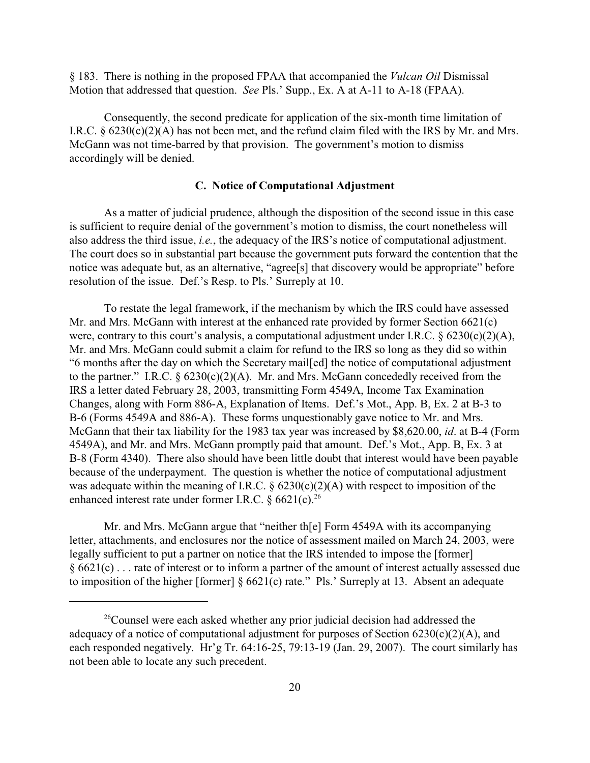§ 183. There is nothing in the proposed FPAA that accompanied the *Vulcan Oil* Dismissal Motion that addressed that question. *See* Pls.' Supp., Ex. A at A-11 to A-18 (FPAA).

Consequently, the second predicate for application of the six-month time limitation of I.R.C.  $\S$  6230(c)(2)(A) has not been met, and the refund claim filed with the IRS by Mr. and Mrs. McGann was not time-barred by that provision. The government's motion to dismiss accordingly will be denied.

#### **C. Notice of Computational Adjustment**

As a matter of judicial prudence, although the disposition of the second issue in this case is sufficient to require denial of the government's motion to dismiss, the court nonetheless will also address the third issue, *i.e.*, the adequacy of the IRS's notice of computational adjustment. The court does so in substantial part because the government puts forward the contention that the notice was adequate but, as an alternative, "agree<sup>[s]</sup> that discovery would be appropriate" before resolution of the issue. Def.'s Resp. to Pls.' Surreply at 10.

To restate the legal framework, if the mechanism by which the IRS could have assessed Mr. and Mrs. McGann with interest at the enhanced rate provided by former Section 6621(c) were, contrary to this court's analysis, a computational adjustment under I.R.C. § 6230(c)(2)(A), Mr. and Mrs. McGann could submit a claim for refund to the IRS so long as they did so within "6 months after the day on which the Secretary mail[ed] the notice of computational adjustment to the partner." I.R.C.  $\S 6230(c)(2)(A)$ . Mr. and Mrs. McGann concededly received from the IRS a letter dated February 28, 2003, transmitting Form 4549A, Income Tax Examination Changes, along with Form 886-A, Explanation of Items. Def.'s Mot., App. B, Ex. 2 at B-3 to B-6 (Forms 4549A and 886-A). These forms unquestionably gave notice to Mr. and Mrs. McGann that their tax liability for the 1983 tax year was increased by \$8,620.00, *id*. at B-4 (Form 4549A), and Mr. and Mrs. McGann promptly paid that amount. Def.'s Mot., App. B, Ex. 3 at B-8 (Form 4340). There also should have been little doubt that interest would have been payable because of the underpayment. The question is whether the notice of computational adjustment was adequate within the meaning of I.R.C.  $\S$  6230(c)(2)(A) with respect to imposition of the enhanced interest rate under former I.R.C.  $\S 6621(c).^{26}$ 

Mr. and Mrs. McGann argue that "neither th[e] Form 4549A with its accompanying letter, attachments, and enclosures nor the notice of assessment mailed on March 24, 2003, were legally sufficient to put a partner on notice that the IRS intended to impose the [former] § 6621(c) . . . rate of interest or to inform a partner of the amount of interest actually assessed due to imposition of the higher [former] § 6621(c) rate." Pls.' Surreply at 13. Absent an adequate

 $^{26}$ Counsel were each asked whether any prior judicial decision had addressed the adequacy of a notice of computational adjustment for purposes of Section  $6230(c)(2)(A)$ , and each responded negatively. Hr'g Tr. 64:16-25, 79:13-19 (Jan. 29, 2007). The court similarly has not been able to locate any such precedent.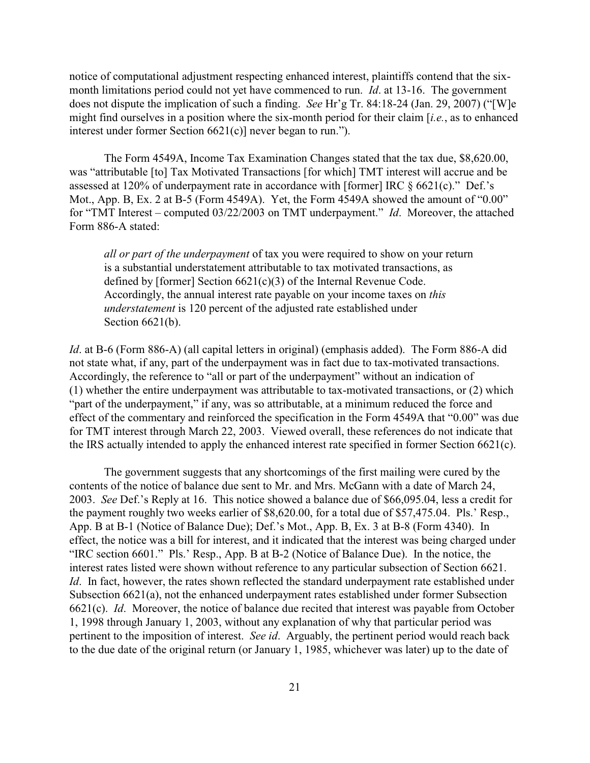notice of computational adjustment respecting enhanced interest, plaintiffs contend that the sixmonth limitations period could not yet have commenced to run. *Id*. at 13-16. The government does not dispute the implication of such a finding. *See* Hr'g Tr. 84:18-24 (Jan. 29, 2007) ("[W]e might find ourselves in a position where the six-month period for their claim [*i.e.*, as to enhanced interest under former Section 6621(c)] never began to run.").

The Form 4549A, Income Tax Examination Changes stated that the tax due, \$8,620.00, was "attributable [to] Tax Motivated Transactions [for which] TMT interest will accrue and be assessed at 120% of underpayment rate in accordance with [former] IRC § 6621(c)." Def.'s Mot., App. B, Ex. 2 at B-5 (Form 4549A). Yet, the Form 4549A showed the amount of "0.00" for "TMT Interest – computed 03/22/2003 on TMT underpayment." *Id*. Moreover, the attached Form 886-A stated:

*all or part of the underpayment* of tax you were required to show on your return is a substantial understatement attributable to tax motivated transactions, as defined by [former] Section 6621(c)(3) of the Internal Revenue Code. Accordingly, the annual interest rate payable on your income taxes on *this understatement* is 120 percent of the adjusted rate established under Section 6621(b).

*Id*. at B-6 (Form 886-A) (all capital letters in original) (emphasis added). The Form 886-A did not state what, if any, part of the underpayment was in fact due to tax-motivated transactions. Accordingly, the reference to "all or part of the underpayment" without an indication of (1) whether the entire underpayment was attributable to tax-motivated transactions, or (2) which "part of the underpayment," if any, was so attributable, at a minimum reduced the force and effect of the commentary and reinforced the specification in the Form 4549A that "0.00" was due for TMT interest through March 22, 2003. Viewed overall, these references do not indicate that the IRS actually intended to apply the enhanced interest rate specified in former Section 6621(c).

The government suggests that any shortcomings of the first mailing were cured by the contents of the notice of balance due sent to Mr. and Mrs. McGann with a date of March 24, 2003. *See* Def.'s Reply at 16. This notice showed a balance due of \$66,095.04, less a credit for the payment roughly two weeks earlier of \$8,620.00, for a total due of \$57,475.04. Pls.' Resp., App. B at B-1 (Notice of Balance Due); Def.'s Mot., App. B, Ex. 3 at B-8 (Form 4340). In effect, the notice was a bill for interest, and it indicated that the interest was being charged under "IRC section 6601." Pls.' Resp., App. B at B-2 (Notice of Balance Due). In the notice, the interest rates listed were shown without reference to any particular subsection of Section 6621. *Id*. In fact, however, the rates shown reflected the standard underpayment rate established under Subsection 6621(a), not the enhanced underpayment rates established under former Subsection 6621(c). *Id*. Moreover, the notice of balance due recited that interest was payable from October 1, 1998 through January 1, 2003, without any explanation of why that particular period was pertinent to the imposition of interest. *See id*. Arguably, the pertinent period would reach back to the due date of the original return (or January 1, 1985, whichever was later) up to the date of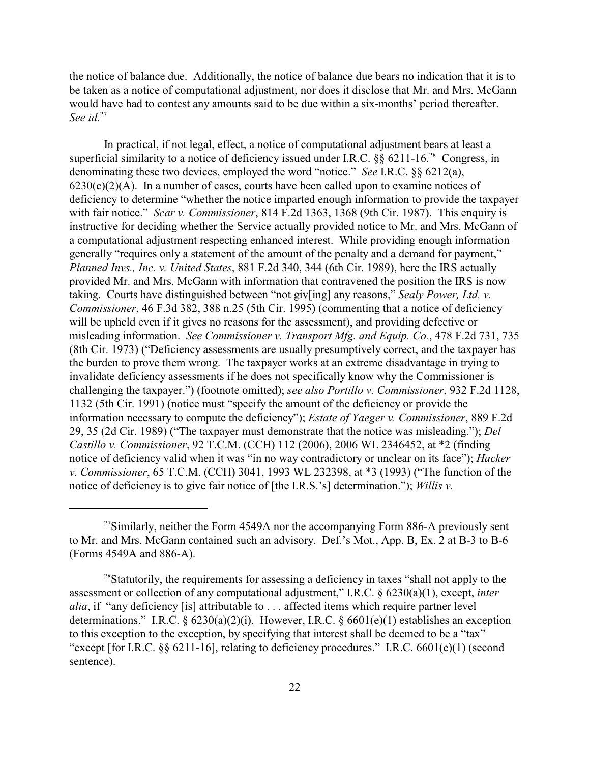the notice of balance due. Additionally, the notice of balance due bears no indication that it is to be taken as a notice of computational adjustment, nor does it disclose that Mr. and Mrs. McGann would have had to contest any amounts said to be due within a six-months' period thereafter. See id.<sup>27</sup>

In practical, if not legal, effect, a notice of computational adjustment bears at least a superficial similarity to a notice of deficiency issued under I.R.C.  $\frac{8}{9}$  6211-16<sup>28</sup> Congress, in denominating these two devices, employed the word "notice." *See* I.R.C. §§ 6212(a),  $6230(c)(2)(A)$ . In a number of cases, courts have been called upon to examine notices of deficiency to determine "whether the notice imparted enough information to provide the taxpayer with fair notice." *Scar v. Commissioner*, 814 F.2d 1363, 1368 (9th Cir. 1987). This enquiry is instructive for deciding whether the Service actually provided notice to Mr. and Mrs. McGann of a computational adjustment respecting enhanced interest. While providing enough information generally "requires only a statement of the amount of the penalty and a demand for payment," *Planned Invs., Inc. v. United States*, 881 F.2d 340, 344 (6th Cir. 1989), here the IRS actually provided Mr. and Mrs. McGann with information that contravened the position the IRS is now taking. Courts have distinguished between "not giv[ing] any reasons," *Sealy Power, Ltd. v. Commissioner*, 46 F.3d 382, 388 n.25 (5th Cir. 1995) (commenting that a notice of deficiency will be upheld even if it gives no reasons for the assessment), and providing defective or misleading information. *See Commissioner v. Transport Mfg. and Equip. Co.*, 478 F.2d 731, 735 (8th Cir. 1973) ("Deficiency assessments are usually presumptively correct, and the taxpayer has the burden to prove them wrong. The taxpayer works at an extreme disadvantage in trying to invalidate deficiency assessments if he does not specifically know why the Commissioner is challenging the taxpayer.") (footnote omitted); *see also Portillo v. Commissioner*, 932 F.2d 1128, 1132 (5th Cir. 1991) (notice must "specify the amount of the deficiency or provide the information necessary to compute the deficiency"); *Estate of Yaeger v. Commissioner*, 889 F.2d 29, 35 (2d Cir. 1989) ("The taxpayer must demonstrate that the notice was misleading."); *Del Castillo v. Commissioner*, 92 T.C.M. (CCH) 112 (2006), 2006 WL 2346452, at \*2 (finding notice of deficiency valid when it was "in no way contradictory or unclear on its face"); *Hacker v. Commissioner*, 65 T.C.M. (CCH) 3041, 1993 WL 232398, at \*3 (1993) ("The function of the notice of deficiency is to give fair notice of [the I.R.S.'s] determination."); *Willis v.*

<sup>&</sup>lt;sup>27</sup>Similarly, neither the Form 4549A nor the accompanying Form 886-A previously sent to Mr. and Mrs. McGann contained such an advisory. Def.'s Mot., App. B, Ex. 2 at B-3 to B-6 (Forms 4549A and 886-A).

 $^{28}$ Statutorily, the requirements for assessing a deficiency in taxes "shall not apply to the assessment or collection of any computational adjustment," I.R.C. § 6230(a)(1), except, *inter alia*, if "any deficiency [is] attributable to . . . affected items which require partner level determinations." I.R.C.  $\S 6230(a)(2)(i)$ . However, I.R.C.  $\S 6601(e)(1)$  establishes an exception to this exception to the exception, by specifying that interest shall be deemed to be a "tax" "except [for I.R.C. §§ 6211-16], relating to deficiency procedures." I.R.C. 6601(e)(1) (second sentence).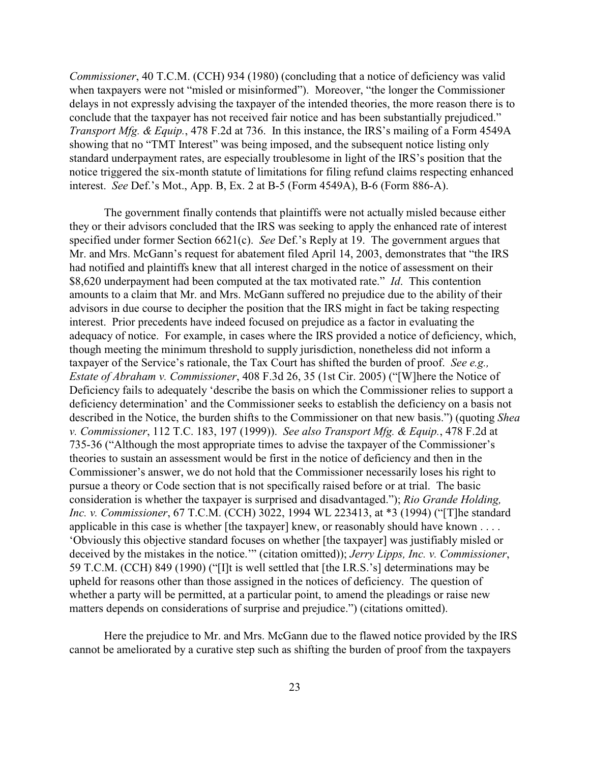*Commissioner*, 40 T.C.M. (CCH) 934 (1980) (concluding that a notice of deficiency was valid when taxpayers were not "misled or misinformed"). Moreover, "the longer the Commissioner delays in not expressly advising the taxpayer of the intended theories, the more reason there is to conclude that the taxpayer has not received fair notice and has been substantially prejudiced." *Transport Mfg. & Equip.*, 478 F.2d at 736. In this instance, the IRS's mailing of a Form 4549A showing that no "TMT Interest" was being imposed, and the subsequent notice listing only standard underpayment rates, are especially troublesome in light of the IRS's position that the notice triggered the six-month statute of limitations for filing refund claims respecting enhanced interest. *See* Def.'s Mot., App. B, Ex. 2 at B-5 (Form 4549A), B-6 (Form 886-A).

The government finally contends that plaintiffs were not actually misled because either they or their advisors concluded that the IRS was seeking to apply the enhanced rate of interest specified under former Section 6621(c). *See* Def.'s Reply at 19. The government argues that Mr. and Mrs. McGann's request for abatement filed April 14, 2003, demonstrates that "the IRS had notified and plaintiffs knew that all interest charged in the notice of assessment on their \$8,620 underpayment had been computed at the tax motivated rate." *Id*. This contention amounts to a claim that Mr. and Mrs. McGann suffered no prejudice due to the ability of their advisors in due course to decipher the position that the IRS might in fact be taking respecting interest. Prior precedents have indeed focused on prejudice as a factor in evaluating the adequacy of notice. For example, in cases where the IRS provided a notice of deficiency, which, though meeting the minimum threshold to supply jurisdiction, nonetheless did not inform a taxpayer of the Service's rationale, the Tax Court has shifted the burden of proof. *See e.g., Estate of Abraham v. Commissioner*, 408 F.3d 26, 35 (1st Cir. 2005) ("[W]here the Notice of Deficiency fails to adequately 'describe the basis on which the Commissioner relies to support a deficiency determination' and the Commissioner seeks to establish the deficiency on a basis not described in the Notice, the burden shifts to the Commissioner on that new basis.") (quoting *Shea v. Commissioner*, 112 T.C. 183, 197 (1999)). *See also Transport Mfg. & Equip.*, 478 F.2d at 735-36 ("Although the most appropriate times to advise the taxpayer of the Commissioner's theories to sustain an assessment would be first in the notice of deficiency and then in the Commissioner's answer, we do not hold that the Commissioner necessarily loses his right to pursue a theory or Code section that is not specifically raised before or at trial. The basic consideration is whether the taxpayer is surprised and disadvantaged."); *Rio Grande Holding, Inc. v. Commissioner*, 67 T.C.M. (CCH) 3022, 1994 WL 223413, at \*3 (1994) ("[T]he standard applicable in this case is whether [the taxpayer] knew, or reasonably should have known . . . . 'Obviously this objective standard focuses on whether [the taxpayer] was justifiably misled or deceived by the mistakes in the notice.'" (citation omitted)); *Jerry Lipps, Inc. v. Commissioner*, 59 T.C.M. (CCH) 849 (1990) ("[I]t is well settled that [the I.R.S.'s] determinations may be upheld for reasons other than those assigned in the notices of deficiency. The question of whether a party will be permitted, at a particular point, to amend the pleadings or raise new matters depends on considerations of surprise and prejudice.") (citations omitted).

Here the prejudice to Mr. and Mrs. McGann due to the flawed notice provided by the IRS cannot be ameliorated by a curative step such as shifting the burden of proof from the taxpayers